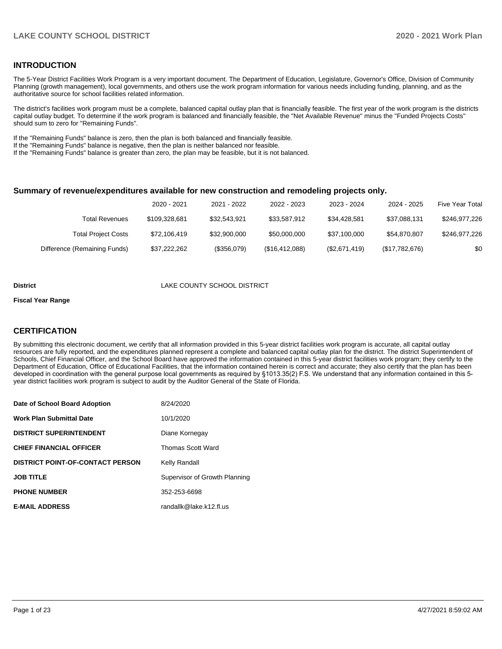#### **INTRODUCTION**

The 5-Year District Facilities Work Program is a very important document. The Department of Education, Legislature, Governor's Office, Division of Community Planning (growth management), local governments, and others use the work program information for various needs including funding, planning, and as the authoritative source for school facilities related information.

The district's facilities work program must be a complete, balanced capital outlay plan that is financially feasible. The first year of the work program is the districts capital outlay budget. To determine if the work program is balanced and financially feasible, the "Net Available Revenue" minus the "Funded Projects Costs" should sum to zero for "Remaining Funds".

If the "Remaining Funds" balance is zero, then the plan is both balanced and financially feasible.

If the "Remaining Funds" balance is negative, then the plan is neither balanced nor feasible.

If the "Remaining Funds" balance is greater than zero, the plan may be feasible, but it is not balanced.

#### **Summary of revenue/expenditures available for new construction and remodeling projects only.**

|                              | 2020 - 2021   | 2021 - 2022  | 2022 - 2023    | 2023 - 2024   | 2024 - 2025    | <b>Five Year Total</b> |
|------------------------------|---------------|--------------|----------------|---------------|----------------|------------------------|
| Total Revenues               | \$109.328.681 | \$32.543.921 | \$33,587.912   | \$34.428.581  | \$37.088.131   | \$246,977,226          |
| <b>Total Project Costs</b>   | \$72,106,419  | \$32,900,000 | \$50,000,000   | \$37,100,000  | \$54.870.807   | \$246,977,226          |
| Difference (Remaining Funds) | \$37,222,262  | (\$356,079)  | (\$16,412,088) | (\$2,671,419) | (\$17,782,676) | \$0                    |

#### **District** LAKE COUNTY SCHOOL DISTRICT

#### **Fiscal Year Range**

#### **CERTIFICATION**

By submitting this electronic document, we certify that all information provided in this 5-year district facilities work program is accurate, all capital outlay resources are fully reported, and the expenditures planned represent a complete and balanced capital outlay plan for the district. The district Superintendent of Schools, Chief Financial Officer, and the School Board have approved the information contained in this 5-year district facilities work program; they certify to the Department of Education, Office of Educational Facilities, that the information contained herein is correct and accurate; they also certify that the plan has been developed in coordination with the general purpose local governments as required by §1013.35(2) F.S. We understand that any information contained in this 5 year district facilities work program is subject to audit by the Auditor General of the State of Florida.

| Date of School Board Adoption           | 8/24/2020                     |
|-----------------------------------------|-------------------------------|
| Work Plan Submittal Date                | 10/1/2020                     |
| <b>DISTRICT SUPERINTENDENT</b>          | Diane Kornegay                |
| <b>CHIEF FINANCIAL OFFICER</b>          | <b>Thomas Scott Ward</b>      |
| <b>DISTRICT POINT-OF-CONTACT PERSON</b> | Kelly Randall                 |
| JOB TITLE                               | Supervisor of Growth Planning |
| <b>PHONE NUMBER</b>                     | 352-253-6698                  |
| <b>E-MAIL ADDRESS</b>                   | randallk@lake.k12.fl.us       |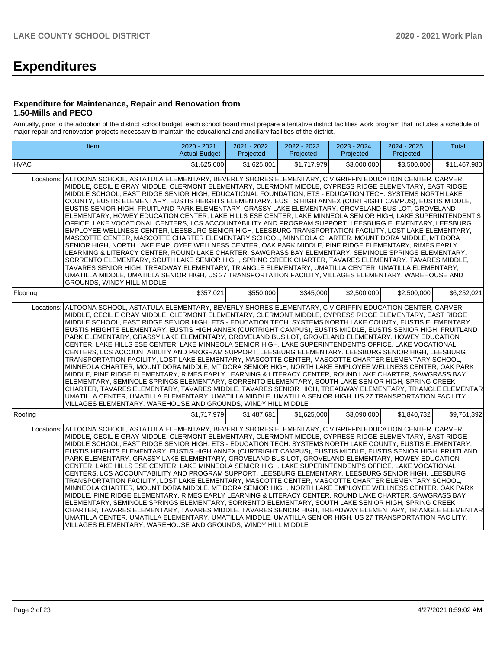# **Expenditures**

#### **Expenditure for Maintenance, Repair and Renovation from 1.50-Mills and PECO**

Annually, prior to the adoption of the district school budget, each school board must prepare a tentative district facilities work program that includes a schedule of major repair and renovation projects necessary to maintain the educational and ancillary facilities of the district.

| Item                                                                                                                                                                                                                                                                                                                                                                                                                                                                                                                                                                                                                                                                                                                                                                                                                                                                                                                                                                                                                                                                                                                                                                                                                                                                                                                                                                                                                                                                                                                                                                              | 2020 - 2021<br><b>Actual Budget</b> | 2021 - 2022<br>Projected | 2022 - 2023<br>Projected | 2023 - 2024<br>Projected | 2024 - 2025<br>Projected | <b>Total</b> |  |  |  |  |
|-----------------------------------------------------------------------------------------------------------------------------------------------------------------------------------------------------------------------------------------------------------------------------------------------------------------------------------------------------------------------------------------------------------------------------------------------------------------------------------------------------------------------------------------------------------------------------------------------------------------------------------------------------------------------------------------------------------------------------------------------------------------------------------------------------------------------------------------------------------------------------------------------------------------------------------------------------------------------------------------------------------------------------------------------------------------------------------------------------------------------------------------------------------------------------------------------------------------------------------------------------------------------------------------------------------------------------------------------------------------------------------------------------------------------------------------------------------------------------------------------------------------------------------------------------------------------------------|-------------------------------------|--------------------------|--------------------------|--------------------------|--------------------------|--------------|--|--|--|--|
| <b>HVAC</b>                                                                                                                                                                                                                                                                                                                                                                                                                                                                                                                                                                                                                                                                                                                                                                                                                                                                                                                                                                                                                                                                                                                                                                                                                                                                                                                                                                                                                                                                                                                                                                       | \$1,625,000                         | \$1,625,001              | \$1.717.979              | \$3.000.000              | \$3,500,000              | \$11,467,980 |  |  |  |  |
| Locations: ALTOONA SCHOOL, ASTATULA ELEMENTARY, BEVERLY SHORES ELEMENTARY, C V GRIFFIN EDUCATION CENTER, CARVER<br>MIDDLE, CECIL E GRAY MIDDLE, CLERMONT ELEMENTARY, CLERMONT MIDDLE, CYPRESS RIDGE ELEMENTARY, EAST RIDGE<br>MIDDLE SCHOOL, EAST RIDGE SENIOR HIGH, EDUCATIONAL FOUNDATION, ETS - EDUCATION TECH. SYSTEMS NORTH LAKE<br>COUNTY, EUSTIS ELEMENTARY, EUSTIS HEIGHTS ELEMENTARY, EUSTIS HIGH ANNEX (CURTRIGHT CAMPUS), EUSTIS MIDDLE,<br>EUSTIS SENIOR HIGH, FRUITLAND PARK ELEMENTARY, GRASSY LAKE ELEMENTARY, GROVELAND BUS LOT, GROVELAND<br>ELEMENTARY, HOWEY EDUCATION CENTER, LAKE HILLS ESE CENTER, LAKE MINNEOLA SENIOR HIGH, LAKE SUPERINTENDENT'S<br>OFFICE, LAKE VOCATIONAL CENTERS, LCS ACCOUNTABILITY AND PROGRAM SUPPORT, LEESBURG ELEMENTARY, LEESBURG<br>EMPLOYEE WELLNESS CENTER, LEESBURG SENIOR HIGH, LEESBURG TRANSPORTATION FACILITY, LOST LAKE ELEMENTARY,<br>MASCOTTE CENTER, MASCOTTE CHARTER ELEMENTARY SCHOOL, MINNEOLA CHARTER, MOUNT DORA MIDDLE, MT DORA<br>SENIOR HIGH, NORTH LAKE EMPLOYEE WELLNESS CENTER, OAK PARK MIDDLE, PINE RIDGE ELEMENTARY, RIMES EARLY<br>LEARNING & LITERACY CENTER, ROUND LAKE CHARTER, SAWGRASS BAY ELEMENTARY, SEMINOLE SPRINGS ELEMENTARY,<br>SORRENTO ELEMENTARY, SOUTH LAKE SENIOR HIGH, SPRING CREEK CHARTER, TAVARES ELEMENTARY, TAVARES MIDDLE,<br>TAVARES SENIOR HIGH, TREADWAY ELEMENTARY, TRIANGLE ELEMENTARY, UMATILLA CENTER, UMATILLA ELEMENTARY,<br>UMATILLA MIDDLE, UMATILLA SENIOR HIGH, US 27 TRANSPORTATION FACILITY, VILLAGES ELEMENTARY, WAREHOUSE AND<br>GROUNDS, WINDY HILL MIDDLE |                                     |                          |                          |                          |                          |              |  |  |  |  |
| Flooring                                                                                                                                                                                                                                                                                                                                                                                                                                                                                                                                                                                                                                                                                                                                                                                                                                                                                                                                                                                                                                                                                                                                                                                                                                                                                                                                                                                                                                                                                                                                                                          | \$357,021                           | \$550,000                | \$345,000                | \$2,500,000              | \$2,500,000              | \$6,252,021  |  |  |  |  |
| Locations: ALTOONA SCHOOL, ASTATULA ELEMENTARY, BEVERLY SHORES ELEMENTARY, C V GRIFFIN EDUCATION CENTER, CARVER<br>MIDDLE, CECIL E GRAY MIDDLE, CLERMONT ELEMENTARY, CLERMONT MIDDLE, CYPRESS RIDGE ELEMENTARY, EAST RIDGE<br>MIDDLE SCHOOL, EAST RIDGE SENIOR HIGH, ETS - EDUCATION TECH. SYSTEMS NORTH LAKE COUNTY, EUSTIS ELEMENTARY,<br>IEUSTIS HEIGHTS ELEMENTARY. EUSTIS HIGH ANNEX (CURTRIGHT CAMPUS). EUSTIS MIDDLE. EUSTIS SENIOR HIGH. FRUITLAND<br>PARK ELEMENTARY, GRASSY LAKE ELEMENTARY, GROVELAND BUS LOT, GROVELAND ELEMENTARY, HOWEY EDUCATION<br>CENTER, LAKE HILLS ESE CENTER, LAKE MINNEOLA SENIOR HIGH, LAKE SUPERINTENDENT'S OFFICE, LAKE VOCATIONAL<br>CENTERS, LCS ACCOUNTABILITY AND PROGRAM SUPPORT, LEESBURG ELEMENTARY, LEESBURG SENIOR HIGH, LEESBURG<br>TRANSPORTATION FACILITY, LOST LAKE ELEMENTARY, MASCOTTE CENTER, MASCOTTE CHARTER ELEMENTARY SCHOOL,<br>MINNEOLA CHARTER, MOUNT DORA MIDDLE, MT DORA SENIOR HIGH, NORTH LAKE EMPLOYEE WELLNESS CENTER, OAK PARK<br>MIDDLE, PINE RIDGE ELEMENTARY, RIMES EARLY LEARNING & LITERACY CENTER, ROUND LAKE CHARTER, SAWGRASS BAY<br>ELEMENTARY, SEMINOLE SPRINGS ELEMENTARY, SORRENTO ELEMENTARY, SOUTH LAKE SENIOR HIGH, SPRING CREEK<br>CHARTER, TAVARES ELEMENTARY, TAVARES MIDDLE, TAVARES SENIOR HIGH, TREADWAY ELEMENTARY, TRIANGLE ELEMENTAR<br>UMATILLA CENTER, UMATILLA ELEMENTARY, UMATILLA MIDDLE, UMATILLA SENIOR HIGH, US 27 TRANSPORTATION FACILITY,<br>VILLAGES ELEMENTARY, WAREHOUSE AND GROUNDS, WINDY HILL MIDDLE                                                                |                                     |                          |                          |                          |                          |              |  |  |  |  |
| Roofing                                                                                                                                                                                                                                                                                                                                                                                                                                                                                                                                                                                                                                                                                                                                                                                                                                                                                                                                                                                                                                                                                                                                                                                                                                                                                                                                                                                                                                                                                                                                                                           | \$1,717.979                         | \$1.487.681              | \$1,625,000              | \$3,090,000              | \$1,840,732              | \$9,761,392  |  |  |  |  |
| Locations: ALTOONA SCHOOL, ASTATULA ELEMENTARY, BEVERLY SHORES ELEMENTARY, C V GRIFFIN EDUCATION CENTER, CARVER<br>MIDDLE, CECIL E GRAY MIDDLE, CLERMONT ELEMENTARY, CLERMONT MIDDLE, CYPRESS RIDGE ELEMENTARY, EAST RIDGE<br>MIDDLE SCHOOL, EAST RIDGE SENIOR HIGH, ETS - EDUCATION TECH. SYSTEMS NORTH LAKE COUNTY, EUSTIS ELEMENTARY,<br>EUSTIS HEIGHTS ELEMENTARY, EUSTIS HIGH ANNEX (CURTRIGHT CAMPUS), EUSTIS MIDDLE, EUSTIS SENIOR HIGH, FRUITLAND<br>PARK ELEMENTARY, GRASSY LAKE ELEMENTARY, GROVELAND BUS LOT, GROVELAND ELEMENTARY, HOWEY EDUCATION<br>CENTER, LAKE HILLS ESE CENTER, LAKE MINNEOLA SENIOR HIGH, LAKE SUPERINTENDENT'S OFFICE, LAKE VOCATIONAL<br>CENTERS, LCS ACCOUNTABILITY AND PROGRAM SUPPORT, LEESBURG ELEMENTARY, LEESBURG SENIOR HIGH, LEESBURG<br>TRANSPORTATION FACILITY, LOST LAKE ELEMENTARY, MASCOTTE CENTER, MASCOTTE CHARTER ELEMENTARY SCHOOL,<br>MINNEOLA CHARTER, MOUNT DORA MIDDLE, MT DORA SENIOR HIGH, NORTH LAKE EMPLOYEE WELLNESS CENTER, OAK PARK<br>MIDDLE, PINE RIDGE ELEMENTARY, RIMES EARLY LEARNING & LITERACY CENTER, ROUND LAKE CHARTER, SAWGRASS BAY<br>ELEMENTARY, SEMINOLE SPRINGS ELEMENTARY, SORRENTO ELEMENTARY, SOUTH LAKE SENIOR HIGH, SPRING CREEK<br>CHARTER, TAVARES ELEMENTARY, TAVARES MIDDLE, TAVARES SENIOR HIGH, TREADWAY ELEMENTARY, TRIANGLE ELEMENTAR<br>UMATILLA CENTER, UMATILLA ELEMENTARY, UMATILLA MIDDLE, UMATILLA SENIOR HIGH, US 27 TRANSPORTATION FACILITY,<br>VILLAGES ELEMENTARY, WAREHOUSE AND GROUNDS, WINDY HILL MIDDLE                                                                 |                                     |                          |                          |                          |                          |              |  |  |  |  |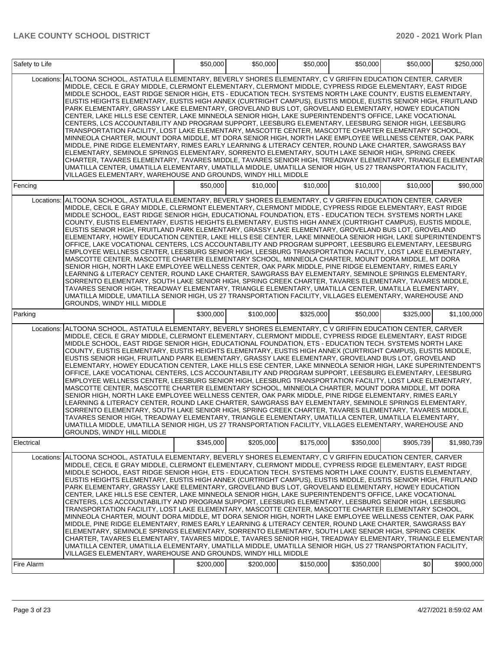| Safety to Life |                                                                                                                                                                                                                                                                                                                                                                                                                                                                                                                                                                                                                                                                                                                                                                                                                                                                                                                                                                                                                                                                                                                                                                                                                                                                                                                                                                                                                                                                                                                                                                                          | \$50,000  | \$50,000  | \$50,000  | \$50,000  | \$50,000  | \$250,000   |
|----------------|------------------------------------------------------------------------------------------------------------------------------------------------------------------------------------------------------------------------------------------------------------------------------------------------------------------------------------------------------------------------------------------------------------------------------------------------------------------------------------------------------------------------------------------------------------------------------------------------------------------------------------------------------------------------------------------------------------------------------------------------------------------------------------------------------------------------------------------------------------------------------------------------------------------------------------------------------------------------------------------------------------------------------------------------------------------------------------------------------------------------------------------------------------------------------------------------------------------------------------------------------------------------------------------------------------------------------------------------------------------------------------------------------------------------------------------------------------------------------------------------------------------------------------------------------------------------------------------|-----------|-----------|-----------|-----------|-----------|-------------|
| Locations:     | ALTOONA SCHOOL, ASTATULA ELEMENTARY, BEVERLY SHORES ELEMENTARY, C V GRIFFIN EDUCATION CENTER, CARVER<br>MIDDLE, CECIL E GRAY MIDDLE, CLERMONT ELEMENTARY, CLERMONT MIDDLE, CYPRESS RIDGE ELEMENTARY, EAST RIDGE<br>MIDDLE SCHOOL, EAST RIDGE SENIOR HIGH, ETS - EDUCATION TECH. SYSTEMS NORTH LAKE COUNTY, EUSTIS ELEMENTARY,<br>EUSTIS HEIGHTS ELEMENTARY, EUSTIS HIGH ANNEX (CURTRIGHT CAMPUS), EUSTIS MIDDLE, EUSTIS SENIOR HIGH, FRUITLAND<br>PARK ELEMENTARY, GRASSY LAKE ELEMENTARY, GROVELAND BUS LOT, GROVELAND ELEMENTARY, HOWEY EDUCATION<br>CENTER, LAKE HILLS ESE CENTER, LAKE MINNEOLA SENIOR HIGH, LAKE SUPERINTENDENT'S OFFICE, LAKE VOCATIONAL<br>CENTERS, LCS ACCOUNTABILITY AND PROGRAM SUPPORT, LEESBURG ELEMENTARY, LEESBURG SENIOR HIGH, LEESBURG<br>TRANSPORTATION FACILITY, LOST LAKE ELEMENTARY, MASCOTTE CENTER, MASCOTTE CHARTER ELEMENTARY SCHOOL,<br>MINNEOLA CHARTER, MOUNT DORA MIDDLE, MT DORA SENIOR HIGH, NORTH LAKE EMPLOYEE WELLNESS CENTER, OAK PARK<br>MIDDLE, PINE RIDGE ELEMENTARY, RIMES EARLY LEARNING & LITERACY CENTER, ROUND LAKE CHARTER, SAWGRASS BAY<br>ELEMENTARY, SEMINOLE SPRINGS ELEMENTARY, SORRENTO ELEMENTARY, SOUTH LAKE SENIOR HIGH, SPRING CREEK<br>CHARTER, TAVARES ELEMENTARY, TAVARES MIDDLE, TAVARES SENIOR HIGH, TREADWAY ELEMENTARY, TRIANGLE ELEMENTAR<br>UMATILLA CENTER, UMATILLA ELEMENTARY, UMATILLA MIDDLE, UMATILLA SENIOR HIGH, US 27 TRANSPORTATION FACILITY,<br>VILLAGES ELEMENTARY, WAREHOUSE AND GROUNDS, WINDY HILL MIDDLE                                                                                   |           |           |           |           |           |             |
| Fencing        |                                                                                                                                                                                                                                                                                                                                                                                                                                                                                                                                                                                                                                                                                                                                                                                                                                                                                                                                                                                                                                                                                                                                                                                                                                                                                                                                                                                                                                                                                                                                                                                          | \$50,000  | \$10,000  | \$10,000  | \$10,000  | \$10,000  | \$90,000    |
|                | Locations: ALTOONA SCHOOL, ASTATULA ELEMENTARY, BEVERLY SHORES ELEMENTARY, C V GRIFFIN EDUCATION CENTER, CARVER<br>MIDDLE, CECIL E GRAY MIDDLE, CLERMONT ELEMENTARY, CLERMONT MIDDLE, CYPRESS RIDGE ELEMENTARY, EAST RIDGE<br>MIDDLE SCHOOL, EAST RIDGE SENIOR HIGH, EDUCATIONAL FOUNDATION, ETS - EDUCATION TECH. SYSTEMS NORTH LAKE<br>COUNTY, EUSTIS ELEMENTARY, EUSTIS HEIGHTS ELEMENTARY, EUSTIS HIGH ANNEX (CURTRIGHT CAMPUS), EUSTIS MIDDLE,<br>EUSTIS SENIOR HIGH, FRUITLAND PARK ELEMENTARY, GRASSY LAKE ELEMENTARY, GROVELAND BUS LOT, GROVELAND<br>ELEMENTARY, HOWEY EDUCATION CENTER, LAKE HILLS ESE CENTER, LAKE MINNEOLA SENIOR HIGH, LAKE SUPERINTENDENT'S<br>OFFICE, LAKE VOCATIONAL CENTERS, LCS ACCOUNTABILITY AND PROGRAM SUPPORT, LEESBURG ELEMENTARY, LEESBURG<br>EMPLOYEE WELLNESS CENTER, LEESBURG SENIOR HIGH, LEESBURG TRANSPORTATION FACILITY, LOST LAKE ELEMENTARY,<br>MASCOTTE CENTER, MASCOTTE CHARTER ELEMENTARY SCHOOL, MINNEOLA CHARTER, MOUNT DORA MIDDLE, MT DORA<br>SENIOR HIGH, NORTH LAKE EMPLOYEE WELLNESS CENTER, OAK PARK MIDDLE, PINE RIDGE ELEMENTARY, RIMES EARLY<br>LEARNING & LITERACY CENTER, ROUND LAKE CHARTER, SAWGRASS BAY ELEMENTARY, SEMINOLE SPRINGS ELEMENTARY,<br>SORRENTO ELEMENTARY, SOUTH LAKE SENIOR HIGH, SPRING CREEK CHARTER, TAVARES ELEMENTARY, TAVARES MIDDLE,<br>TAVARES SENIOR HIGH. TREADWAY ELEMENTARY. TRIANGLE ELEMENTARY. UMATILLA CENTER. UMATILLA ELEMENTARY.<br>UMATILLA MIDDLE, UMATILLA SENIOR HIGH, US 27 TRANSPORTATION FACILITY, VILLAGES ELEMENTARY, WAREHOUSE AND<br><b>GROUNDS, WINDY HILL MIDDLE</b> |           |           |           |           |           |             |
| Parking        |                                                                                                                                                                                                                                                                                                                                                                                                                                                                                                                                                                                                                                                                                                                                                                                                                                                                                                                                                                                                                                                                                                                                                                                                                                                                                                                                                                                                                                                                                                                                                                                          | \$300,000 | \$100,000 | \$325,000 | \$50,000  | \$325,000 | \$1,100,000 |
|                | Locations: ALTOONA SCHOOL, ASTATULA ELEMENTARY, BEVERLY SHORES ELEMENTARY, C V GRIFFIN EDUCATION CENTER, CARVER<br>MIDDLE, CECIL E GRAY MIDDLE, CLERMONT ELEMENTARY, CLERMONT MIDDLE, CYPRESS RIDGE ELEMENTARY, EAST RIDGE<br>MIDDLE SCHOOL, EAST RIDGE SENIOR HIGH, EDUCATIONAL FOUNDATION, ETS - EDUCATION TECH. SYSTEMS NORTH LAKE<br>COUNTY, EUSTIS ELEMENTARY, EUSTIS HEIGHTS ELEMENTARY, EUSTIS HIGH ANNEX (CURTRIGHT CAMPUS), EUSTIS MIDDLE,<br>EUSTIS SENIOR HIGH, FRUITLAND PARK ELEMENTARY, GRASSY LAKE ELEMENTARY, GROVELAND BUS LOT, GROVELAND<br>ELEMENTARY, HOWEY EDUCATION CENTER, LAKE HILLS ESE CENTER, LAKE MINNEOLA SENIOR HIGH, LAKE SUPERINTENDENT'S<br>OFFICE, LAKE VOCATIONAL CENTERS, LCS ACCOUNTABILITY AND PROGRAM SUPPORT, LEESBURG ELEMENTARY, LEESBURG<br>EMPLOYEE WELLNESS CENTER, LEESBURG SENIOR HIGH, LEESBURG TRANSPORTATION FACILITY, LOST LAKE ELEMENTARY,<br>MASCOTTE CENTER, MASCOTTE CHARTER ELEMENTARY SCHOOL, MINNEOLA CHARTER, MOUNT DORA MIDDLE, MT DORA<br>SENIOR HIGH, NORTH LAKE EMPLOYEE WELLNESS CENTER, OAK PARK MIDDLE, PINE RIDGE ELEMENTARY, RIMES EARLY<br>LEARNING & LITERACY CENTER. ROUND LAKE CHARTER. SAWGRASS BAY ELEMENTARY. SEMINOLE SPRINGS ELEMENTARY.<br>SORRENTO ELEMENTARY, SOUTH LAKE SENIOR HIGH, SPRING CREEK CHARTER, TAVARES ELEMENTARY, TAVARES MIDDLE,<br>TAVARES SENIOR HIGH, TREADWAY ELEMENTARY, TRIANGLE ELEMENTARY, UMATILLA CENTER, UMATILLA ELEMENTARY,<br>UMATILLA MIDDLE, UMATILLA SENIOR HIGH, US 27 TRANSPORTATION FACILITY, VILLAGES ELEMENTARY, WAREHOUSE AND<br>GROUNDS, WINDY HILL MIDDLE        |           |           |           |           |           |             |
| Electrical     |                                                                                                                                                                                                                                                                                                                                                                                                                                                                                                                                                                                                                                                                                                                                                                                                                                                                                                                                                                                                                                                                                                                                                                                                                                                                                                                                                                                                                                                                                                                                                                                          | \$345,000 | \$205,000 | \$175,000 | \$350,000 | \$905,739 | \$1,980,739 |
| Locations:     | ALTOONA SCHOOL, ASTATULA ELEMENTARY, BEVERLY SHORES ELEMENTARY, C V GRIFFIN EDUCATION CENTER, CARVER<br>MIDDLE, CECIL E GRAY MIDDLE, CLERMONT ELEMENTARY, CLERMONT MIDDLE, CYPRESS RIDGE ELEMENTARY, EAST RIDGE<br>MIDDLE SCHOOL, EAST RIDGE SENIOR HIGH, ETS - EDUCATION TECH. SYSTEMS NORTH LAKE COUNTY, EUSTIS ELEMENTARY,<br>EUSTIS HEIGHTS ELEMENTARY, EUSTIS HIGH ANNEX (CURTRIGHT CAMPUS), EUSTIS MIDDLE, EUSTIS SENIOR HIGH, FRUITLAND<br>PARK ELEMENTARY, GRASSY LAKE ELEMENTARY, GROVELAND BUS LOT, GROVELAND ELEMENTARY, HOWEY EDUCATION<br>CENTER, LAKE HILLS ESE CENTER, LAKE MINNEOLA SENIOR HIGH, LAKE SUPERINTENDENT'S OFFICE, LAKE VOCATIONAL<br>CENTERS, LCS ACCOUNTABILITY AND PROGRAM SUPPORT, LEESBURG ELEMENTARY, LEESBURG SENIOR HIGH, LEESBURG<br>TRANSPORTATION FACILITY, LOST LAKE ELEMENTARY, MASCOTTE CENTER, MASCOTTE CHARTER ELEMENTARY SCHOOL,<br>MINNEOLA CHARTER, MOUNT DORA MIDDLE, MT DORA SENIOR HIGH, NORTH LAKE EMPLOYEE WELLNESS CENTER, OAK PARK<br>MIDDLE, PINE RIDGE ELEMENTARY, RIMES EARLY LEARNING & LITERACY CENTER, ROUND LAKE CHARTER, SAWGRASS BAY<br>ELEMENTARY, SEMINOLE SPRINGS ELEMENTARY, SORRENTO ELEMENTARY, SOUTH LAKE SENIOR HIGH, SPRING CREEK<br> CHARTER, TAVARES ELEMENTARY, TAVARES MIDDLE, TAVARES SENIOR HIGH, TREADWAY ELEMENTARY, TRIANGLE ELEMENTAR <br>UMATILLA CENTER, UMATILLA ELEMENTARY, UMATILLA MIDDLE, UMATILLA SENIOR HIGH, US 27 TRANSPORTATION FACILITY,<br>VILLAGES ELEMENTARY, WAREHOUSE AND GROUNDS, WINDY HILL MIDDLE                                                                                 |           |           |           |           |           |             |
| Fire Alarm     |                                                                                                                                                                                                                                                                                                                                                                                                                                                                                                                                                                                                                                                                                                                                                                                                                                                                                                                                                                                                                                                                                                                                                                                                                                                                                                                                                                                                                                                                                                                                                                                          | \$200,000 | \$200,000 | \$150,000 | \$350,000 | \$0       | \$900,000   |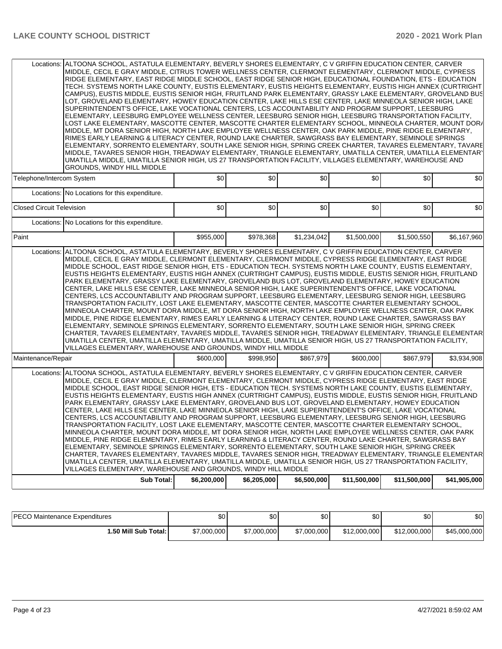| Telephone/Intercom System<br><b>Closed Circuit Television</b><br>Paint<br>Locations: | Locations: No Locations for this expenditure.<br>Locations: No Locations for this expenditure.                                                                                                                                                                                                                                                                                                                                                                                                                                                                                                                                                                                                                                                                                                                                                                                                                                                                                                                                                                                                                                                                                                                                                                                                                                                                                                                                                                                                                                | \$0<br>\$0  | \$0<br>\$0  | \$0         | \$0          | \$0          | \$0          |
|--------------------------------------------------------------------------------------|-------------------------------------------------------------------------------------------------------------------------------------------------------------------------------------------------------------------------------------------------------------------------------------------------------------------------------------------------------------------------------------------------------------------------------------------------------------------------------------------------------------------------------------------------------------------------------------------------------------------------------------------------------------------------------------------------------------------------------------------------------------------------------------------------------------------------------------------------------------------------------------------------------------------------------------------------------------------------------------------------------------------------------------------------------------------------------------------------------------------------------------------------------------------------------------------------------------------------------------------------------------------------------------------------------------------------------------------------------------------------------------------------------------------------------------------------------------------------------------------------------------------------------|-------------|-------------|-------------|--------------|--------------|--------------|
|                                                                                      |                                                                                                                                                                                                                                                                                                                                                                                                                                                                                                                                                                                                                                                                                                                                                                                                                                                                                                                                                                                                                                                                                                                                                                                                                                                                                                                                                                                                                                                                                                                               |             |             |             |              |              |              |
|                                                                                      |                                                                                                                                                                                                                                                                                                                                                                                                                                                                                                                                                                                                                                                                                                                                                                                                                                                                                                                                                                                                                                                                                                                                                                                                                                                                                                                                                                                                                                                                                                                               |             |             |             |              |              |              |
|                                                                                      |                                                                                                                                                                                                                                                                                                                                                                                                                                                                                                                                                                                                                                                                                                                                                                                                                                                                                                                                                                                                                                                                                                                                                                                                                                                                                                                                                                                                                                                                                                                               |             |             | \$0         | \$0          | \$0          | \$0          |
|                                                                                      |                                                                                                                                                                                                                                                                                                                                                                                                                                                                                                                                                                                                                                                                                                                                                                                                                                                                                                                                                                                                                                                                                                                                                                                                                                                                                                                                                                                                                                                                                                                               |             |             |             |              |              |              |
|                                                                                      |                                                                                                                                                                                                                                                                                                                                                                                                                                                                                                                                                                                                                                                                                                                                                                                                                                                                                                                                                                                                                                                                                                                                                                                                                                                                                                                                                                                                                                                                                                                               | \$955,000   | \$978,368   | \$1,234,042 | \$1,500,000  | \$1,500,550  | \$6,167,960  |
|                                                                                      | ALTOONA SCHOOL, ASTATULA ELEMENTARY, BEVERLY SHORES ELEMENTARY, C V GRIFFIN EDUCATION CENTER, CARVER<br>MIDDLE, CECIL E GRAY MIDDLE, CLERMONT ELEMENTARY, CLERMONT MIDDLE, CYPRESS RIDGE ELEMENTARY, EAST RIDGE<br>MIDDLE SCHOOL. EAST RIDGE SENIOR HIGH. ETS - EDUCATION TECH. SYSTEMS NORTH LAKE COUNTY. EUSTIS ELEMENTARY.<br>EUSTIS HEIGHTS ELEMENTARY, EUSTIS HIGH ANNEX (CURTRIGHT CAMPUS), EUSTIS MIDDLE, EUSTIS SENIOR HIGH, FRUITLAND<br>PARK ELEMENTARY, GRASSY LAKE ELEMENTARY, GROVELAND BUS LOT, GROVELAND ELEMENTARY, HOWEY EDUCATION<br>CENTER, LAKE HILLS ESE CENTER, LAKE MINNEOLA SENIOR HIGH, LAKE SUPERINTENDENT'S OFFICE, LAKE VOCATIONAL<br>CENTERS, LCS ACCOUNTABILITY AND PROGRAM SUPPORT, LEESBURG ELEMENTARY, LEESBURG SENIOR HIGH, LEESBURG<br>TRANSPORTATION FACILITY, LOST LAKE ELEMENTARY, MASCOTTE CENTER, MASCOTTE CHARTER ELEMENTARY SCHOOL,<br>MINNEOLA CHARTER, MOUNT DORA MIDDLE, MT DORA SENIOR HIGH, NORTH LAKE EMPLOYEE WELLNESS CENTER, OAK PARK<br>MIDDLE, PINE RIDGE ELEMENTARY, RIMES EARLY LEARNING & LITERACY CENTER, ROUND LAKE CHARTER, SAWGRASS BAY<br>ELEMENTARY, SEMINOLE SPRINGS ELEMENTARY, SORRENTO ELEMENTARY, SOUTH LAKE SENIOR HIGH, SPRING CREEK<br>CHARTER, TAVARES ELEMENTARY, TAVARES MIDDLE, TAVARES SENIOR HIGH, TREADWAY ELEMENTARY, TRIANGLE ELEMENTAR<br>UMATILLA CENTER, UMATILLA ELEMENTARY, UMATILLA MIDDLE, UMATILLA SENIOR HIGH, US 27 TRANSPORTATION FACILITY,<br>VILLAGES ELEMENTARY, WAREHOUSE AND GROUNDS, WINDY HILL MIDDLE                        |             |             |             |              |              |              |
| Maintenance/Repair                                                                   |                                                                                                                                                                                                                                                                                                                                                                                                                                                                                                                                                                                                                                                                                                                                                                                                                                                                                                                                                                                                                                                                                                                                                                                                                                                                                                                                                                                                                                                                                                                               | \$600,000   | \$998.950   | \$867,979   | \$600,000    | \$867,979    | \$3,934,908  |
| Locations:                                                                           | ALTOONA SCHOOL, ASTATULA ELEMENTARY, BEVERLY SHORES ELEMENTARY, C V GRIFFIN EDUCATION CENTER, CARVER<br>MIDDLE, CECIL E GRAY MIDDLE, CLERMONT ELEMENTARY, CLERMONT MIDDLE, CYPRESS RIDGE ELEMENTARY, EAST RIDGE<br>MIDDLE SCHOOL, EAST RIDGE SENIOR HIGH, ETS - EDUCATION TECH. SYSTEMS NORTH LAKE COUNTY, EUSTIS ELEMENTARY,<br>EUSTIS HEIGHTS ELEMENTARY, EUSTIS HIGH ANNEX (CURTRIGHT CAMPUS), EUSTIS MIDDLE, EUSTIS SENIOR HIGH, FRUITLAND<br>PARK ELEMENTARY, GRASSY LAKE ELEMENTARY, GROVELAND BUS LOT, GROVELAND ELEMENTARY, HOWEY EDUCATION<br>CENTER, LAKE HILLS ESE CENTER, LAKE MINNEOLA SENIOR HIGH, LAKE SUPERINTENDENT'S OFFICE, LAKE VOCATIONAL<br>CENTERS, LCS ACCOUNTABILITY AND PROGRAM SUPPORT, LEESBURG ELEMENTARY, LEESBURG SENIOR HIGH, LEESBURG<br>TRANSPORTATION FACILITY, LOST LAKE ELEMENTARY, MASCOTTE CENTER, MASCOTTE CHARTER ELEMENTARY SCHOOL,<br>MINNEOLA CHARTER, MOUNT DORA MIDDLE, MT DORA SENIOR HIGH, NORTH LAKE EMPLOYEE WELLNESS CENTER, OAK PARK<br>MIDDLE, PINE RIDGE ELEMENTARY, RIMES EARLY LEARNING & LITERACY CENTER, ROUND LAKE CHARTER, SAWGRASS BAY<br>ELEMENTARY, SEMINOLE SPRINGS ELEMENTARY, SORRENTO ELEMENTARY, SOUTH LAKE SENIOR HIGH, SPRING CREEK<br> CHARTER, TAVARES ELEMENTARY, TAVARES MIDDLE, TAVARES SENIOR HIGH, TREADWAY ELEMENTARY, TRIANGLE ELEMENTAR <br>UMATILLA CENTER, UMATILLA ELEMENTARY, UMATILLA MIDDLE, UMATILLA SENIOR HIGH, US 27 TRANSPORTATION FACILITY,<br>VILLAGES ELEMENTARY, WAREHOUSE AND GROUNDS, WINDY HILL MIDDLE<br><b>Sub Total:</b> | \$6,200,000 | \$6,205,000 | \$6,500,000 | \$11,500,000 | \$11,500,000 | \$41,905,000 |

| <b>IPECO Maintenance Expenditures</b> | \$0         | \$0         | \$0 <sub>1</sub> | ሶሳ<br>υU     | \$0          | \$0          |
|---------------------------------------|-------------|-------------|------------------|--------------|--------------|--------------|
| 1.50 Mill Sub Total: I                | \$7,000,000 | \$7,000,000 | \$7,000,000      | \$12,000,000 | \$12,000,000 | \$45,000,000 |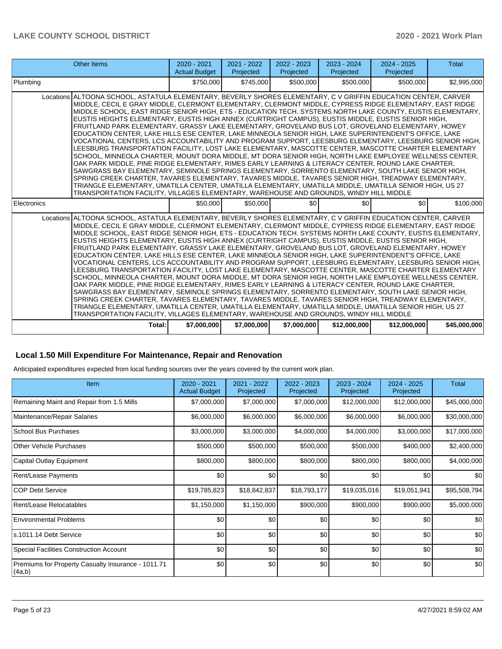| <b>Other Items</b>                                                                                                                                                                                                                                                                                                                                                                                                                                                                                                                                                                                                                                                                                                                                                                                                                                                                                                                                                                                                                                                                                                                                                                                                                                                                                                                                                                                                                                                                                                 | $2020 - 2021$<br><b>Actual Budget</b> | 2021 - 2022<br>Projected | 2022 - 2023<br>Projected | 2023 - 2024<br>Projected | $2024 - 2025$<br>Projected | <b>Total</b> |
|--------------------------------------------------------------------------------------------------------------------------------------------------------------------------------------------------------------------------------------------------------------------------------------------------------------------------------------------------------------------------------------------------------------------------------------------------------------------------------------------------------------------------------------------------------------------------------------------------------------------------------------------------------------------------------------------------------------------------------------------------------------------------------------------------------------------------------------------------------------------------------------------------------------------------------------------------------------------------------------------------------------------------------------------------------------------------------------------------------------------------------------------------------------------------------------------------------------------------------------------------------------------------------------------------------------------------------------------------------------------------------------------------------------------------------------------------------------------------------------------------------------------|---------------------------------------|--------------------------|--------------------------|--------------------------|----------------------------|--------------|
| Plumbing                                                                                                                                                                                                                                                                                                                                                                                                                                                                                                                                                                                                                                                                                                                                                                                                                                                                                                                                                                                                                                                                                                                                                                                                                                                                                                                                                                                                                                                                                                           | \$750,000                             | \$745,000                | \$500,000                | \$500,000                | \$500,000                  | \$2,995,000  |
| Locations ALTOONA SCHOOL, ASTATULA ELEMENTARY, BEVERLY SHORES ELEMENTARY, C V GRIFFIN EDUCATION CENTER, CARVER<br>MIDDLE, CECIL E GRAY MIDDLE, CLERMONT ELEMENTARY, CLERMONT MIDDLE, CYPRESS RIDGE ELEMENTARY, EAST RIDGE<br>MIDDLE SCHOOL, EAST RIDGE SENIOR HIGH, ETS - EDUCATION TECH. SYSTEMS NORTH LAKE COUNTY, EUSTIS ELEMENTARY,<br>EUSTIS HEIGHTS ELEMENTARY, EUSTIS HIGH ANNEX (CURTRIGHT CAMPUS), EUSTIS MIDDLE, EUSTIS SENIOR HIGH,<br>FRUITLAND PARK ELEMENTARY, GRASSY LAKE ELEMENTARY, GROVELAND BUS LOT, GROVELAND ELEMENTARY, HOWEY<br>EDUCATION CENTER, LAKE HILLS ESE CENTER, LAKE MINNEOLA SENIOR HIGH, LAKE SUPERINTENDENT'S OFFICE, LAKE<br>VOCATIONAL CENTERS, LCS ACCOUNTABILITY AND PROGRAM SUPPORT, LEESBURG ELEMENTARY, LEESBURG SENIOR HIGH,<br>LEESBURG TRANSPORTATION FACILITY, LOST LAKE ELEMENTARY, MASCOTTE CENTER, MASCOTTE CHARTER ELEMENTARY<br>SCHOOL, MINNEOLA CHARTER, MOUNT DORA MIDDLE, MT DORA SENIOR HIGH, NORTH LAKE EMPLOYEE WELLNESS CENTER,<br>OAK PARK MIDDLE, PINE RIDGE ELEMENTARY, RIMES EARLY LEARNING & LITERACY CENTER, ROUND LAKE CHARTER,<br>SAWGRASS BAY ELEMENTARY, SEMINOLE SPRINGS ELEMENTARY, SORRENTO ELEMENTARY, SOUTH LAKE SENIOR HIGH,<br>SPRING CREEK CHARTER, TAVARES ELEMENTARY, TAVARES MIDDLE, TAVARES SENIOR HIGH, TREADWAY ELEMENTARY,<br>TRIANGLE ELEMENTARY, UMATILLA CENTER, UMATILLA ELEMENTARY, UMATILLA MIDDLE, UMATILLA SENIOR HIGH, US 27<br>TRANSPORTATION FACILITY, VILLAGES ELEMENTARY, WAREHOUSE AND GROUNDS, WINDY HILL MIDDLE |                                       |                          |                          |                          |                            |              |
| Electronics                                                                                                                                                                                                                                                                                                                                                                                                                                                                                                                                                                                                                                                                                                                                                                                                                                                                                                                                                                                                                                                                                                                                                                                                                                                                                                                                                                                                                                                                                                        | \$50,000                              | \$50,000                 | \$0                      | \$0                      | \$0                        | \$100,000    |
| Locations ALTOONA SCHOOL, ASTATULA ELEMENTARY, BEVERLY SHORES ELEMENTARY, C V GRIFFIN EDUCATION CENTER, CARVER<br>MIDDLE, CECIL E GRAY MIDDLE, CLERMONT ELEMENTARY, CLERMONT MIDDLE, CYPRESS RIDGE ELEMENTARY, EAST RIDGE<br>MIDDLE SCHOOL, EAST RIDGE SENIOR HIGH, ETS - EDUCATION TECH. SYSTEMS NORTH LAKE COUNTY, EUSTIS ELEMENTARY,<br>EUSTIS HEIGHTS ELEMENTARY, EUSTIS HIGH ANNEX (CURTRIGHT CAMPUS), EUSTIS MIDDLE, EUSTIS SENIOR HIGH,<br>FRUITLAND PARK ELEMENTARY, GRASSY LAKE ELEMENTARY, GROVELAND BUS LOT, GROVELAND ELEMENTARY, HOWEY<br>EDUCATION CENTER, LAKE HILLS ESE CENTER, LAKE MINNEOLA SENIOR HIGH, LAKE SUPERINTENDENT'S OFFICE, LAKE<br>VOCATIONAL CENTERS, LCS ACCOUNTABILITY AND PROGRAM SUPPORT, LEESBURG ELEMENTARY, LEESBURG SENIOR HIGH,<br>LEESBURG TRANSPORTATION FACILITY. LOST LAKE ELEMENTARY. MASCOTTE CENTER. MASCOTTE CHARTER ELEMENTARY<br>SCHOOL, MINNEOLA CHARTER, MOUNT DORA MIDDLE, MT DORA SENIOR HIGH, NORTH LAKE EMPLOYEE WELLNESS CENTER,<br>OAK PARK MIDDLE, PINE RIDGE ELEMENTARY, RIMES EARLY LEARNING & LITERACY CENTER, ROUND LAKE CHARTER,<br>SAWGRASS BAY ELEMENTARY, SEMINOLE SPRINGS ELEMENTARY, SORRENTO ELEMENTARY, SOUTH LAKE SENIOR HIGH,<br>SPRING CREEK CHARTER, TAVARES ELEMENTARY, TAVARES MIDDLE, TAVARES SENIOR HIGH, TREADWAY ELEMENTARY,<br>TRIANGLE ELEMENTARY, UMATILLA CENTER, UMATILLA ELEMENTARY, UMATILLA MIDDLE, UMATILLA SENIOR HIGH, US 27<br>TRANSPORTATION FACILITY, VILLAGES ELEMENTARY, WAREHOUSE AND GROUNDS, WINDY HILL MIDDLE |                                       |                          |                          |                          |                            |              |
| Total:                                                                                                                                                                                                                                                                                                                                                                                                                                                                                                                                                                                                                                                                                                                                                                                                                                                                                                                                                                                                                                                                                                                                                                                                                                                                                                                                                                                                                                                                                                             | \$7,000,000                           | \$7,000,000              | \$7,000,000              | \$12,000,000             | \$12,000,000               | \$45,000,000 |

#### **Local 1.50 Mill Expenditure For Maintenance, Repair and Renovation**

Anticipated expenditures expected from local funding sources over the years covered by the current work plan.

| <b>Item</b>                                                   | $2020 - 2021$<br><b>Actual Budget</b> | 2021 - 2022<br>Projected | 2022 - 2023<br>Projected | 2023 - 2024<br>Projected | 2024 - 2025<br>Projected | <b>Total</b> |
|---------------------------------------------------------------|---------------------------------------|--------------------------|--------------------------|--------------------------|--------------------------|--------------|
| Remaining Maint and Repair from 1.5 Mills                     | \$7,000,000                           | \$7,000,000              | \$7,000,000              | \$12,000,000             | \$12,000,000             | \$45,000,000 |
| Maintenance/Repair Salaries                                   | \$6,000,000                           | \$6,000,000              | \$6,000,000              | \$6,000,000              | \$6,000,000              | \$30,000,000 |
| School Bus Purchases                                          | \$3,000,000                           | \$3,000,000              | \$4,000,000              | \$4,000,000              | \$3,000,000              | \$17,000,000 |
| Other Vehicle Purchases                                       | \$500,000                             | \$500,000                | \$500,000                | \$500,000                | \$400,000                | \$2,400,000  |
| Capital Outlay Equipment                                      | \$800,000                             | \$800,000                | \$800,000                | \$800,000                | \$800,000                | \$4,000,000  |
| Rent/Lease Payments                                           | \$0                                   | \$0                      | \$0                      | \$0                      | \$0                      | \$0          |
| <b>COP Debt Service</b>                                       | \$19,785,823                          | \$18,842,837             | \$18,793,177             | \$19,035,016             | \$19,051,941             | \$95,508,794 |
| Rent/Lease Relocatables                                       | \$1,150,000                           | \$1,150,000              | \$900,000                | \$900,000                | \$900,000                | \$5,000,000  |
| <b>Environmental Problems</b>                                 | \$0                                   | \$0                      | \$0                      | \$0                      | \$0                      | \$0          |
| s.1011.14 Debt Service                                        | \$0                                   | \$0                      | \$0                      | \$0                      | \$0                      | \$0          |
| Special Facilities Construction Account                       | \$0                                   | \$0                      | \$0                      | \$0                      | \$0                      | \$0          |
| Premiums for Property Casualty Insurance - 1011.71<br> (4a,b) | \$0                                   | \$0                      | \$0                      | \$0                      | \$0                      | \$0          |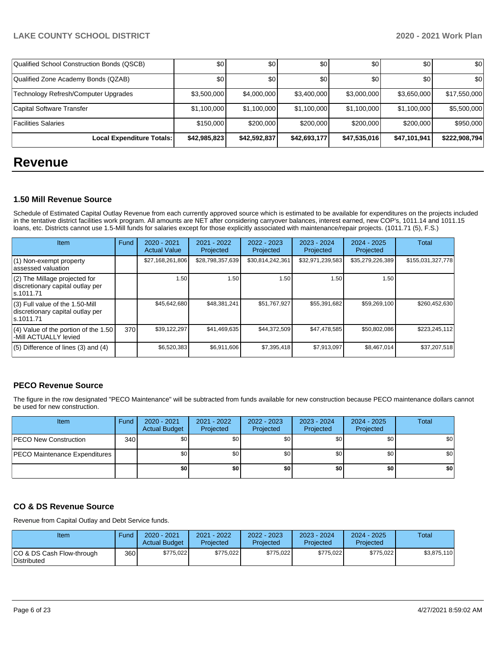| Qualified School Construction Bonds (QSCB) | \$0              | \$0          | \$0          | \$0          | \$0          | \$0           |
|--------------------------------------------|------------------|--------------|--------------|--------------|--------------|---------------|
| Qualified Zone Academy Bonds (QZAB)        | \$0 <sub>1</sub> | \$0          | \$0          | \$0          | \$0          | \$0           |
| Technology Refresh/Computer Upgrades       | \$3,500,000      | \$4,000,000  | \$3,400,000  | \$3,000,000  | \$3,650,000  | \$17,550,000  |
| Capital Software Transfer                  | \$1,100,000      | \$1,100,000  | \$1,100,000  | \$1,100,000  | \$1,100,000  | \$5,500,000   |
| Facilities Salaries                        | \$150,000        | \$200.000    | \$200,000    | \$200,000    | \$200,000    | \$950,000     |
| Local Expenditure Totals:                  | \$42,985,823     | \$42,592,837 | \$42,693,177 | \$47,535,016 | \$47,101,941 | \$222,908,794 |

## **Revenue**

#### **1.50 Mill Revenue Source**

Schedule of Estimated Capital Outlay Revenue from each currently approved source which is estimated to be available for expenditures on the projects included in the tentative district facilities work program. All amounts are NET after considering carryover balances, interest earned, new COP's, 1011.14 and 1011.15 loans, etc. Districts cannot use 1.5-Mill funds for salaries except for those explicitly associated with maintenance/repair projects. (1011.71 (5), F.S.)

| Item                                                                                | Fund | $2020 - 2021$<br><b>Actual Value</b> | 2021 - 2022<br>Projected | $2022 - 2023$<br>Projected | $2023 - 2024$<br>Projected | $2024 - 2025$<br>Projected | Total             |
|-------------------------------------------------------------------------------------|------|--------------------------------------|--------------------------|----------------------------|----------------------------|----------------------------|-------------------|
| (1) Non-exempt property<br>lassessed valuation                                      |      | \$27,168,261,806                     | \$28,798,357,639         | \$30,814,242,361           | \$32,971,239,583           | \$35,279,226,389           | \$155,031,327,778 |
| $(2)$ The Millage projected for<br>discretionary capital outlay per<br>ls.1011.71   |      | 1.50                                 | 1.50                     | 1.50                       | 1.50                       | 1.50                       |                   |
| $(3)$ Full value of the 1.50-Mill<br>discretionary capital outlay per<br>ls.1011.71 |      | \$45,642,680                         | \$48,381,241             | \$51,767,927               | \$55,391,682               | \$59,269,100               | \$260,452,630     |
| $(4)$ Value of the portion of the 1.50<br>-Mill ACTUALLY levied                     | 370  | \$39,122,297                         | \$41,469,635             | \$44,372,509               | \$47,478,585               | \$50,802,086               | \$223,245,112     |
| $(5)$ Difference of lines (3) and (4)                                               |      | \$6,520,383                          | \$6,911,606              | \$7,395,418                | \$7,913,097                | \$8.467.014                | \$37,207,518      |

## **PECO Revenue Source**

The figure in the row designated "PECO Maintenance" will be subtracted from funds available for new construction because PECO maintenance dollars cannot be used for new construction.

| <b>Item</b>                          | Fund         | 2020 - 2021<br><b>Actual Budget</b> | 2021 - 2022<br>Projected | 2022 - 2023<br>Projected | 2023 - 2024<br>Projected | 2024 - 2025<br>Projected | Total |
|--------------------------------------|--------------|-------------------------------------|--------------------------|--------------------------|--------------------------|--------------------------|-------|
| <b>PECO New Construction</b>         | 340 <b>I</b> | \$0                                 | \$0                      | \$0                      | \$0l                     | \$0                      | \$0   |
| <b>PECO Maintenance Expenditures</b> |              | \$0                                 | \$0                      | \$0                      | ا 30                     | \$0                      | \$0   |
|                                      |              | \$0                                 | \$0                      | \$0                      | \$0                      | \$0                      | \$0   |

## **CO & DS Revenue Source**

Revenue from Capital Outlay and Debt Service funds.

| Item                                      | Fund  | 2020 - 2021<br><b>Actual Budget</b> | 2021 - 2022<br>Projected | $2022 - 2023$<br>Projected | 2023 - 2024<br>Projected | $2024 - 2025$<br>Projected | Total       |
|-------------------------------------------|-------|-------------------------------------|--------------------------|----------------------------|--------------------------|----------------------------|-------------|
| ICO & DS Cash Flow-through<br>Distributed | 360 l | \$775.022                           | \$775.022                | \$775.022                  | \$775.022                | \$775.022                  | \$3,875,110 |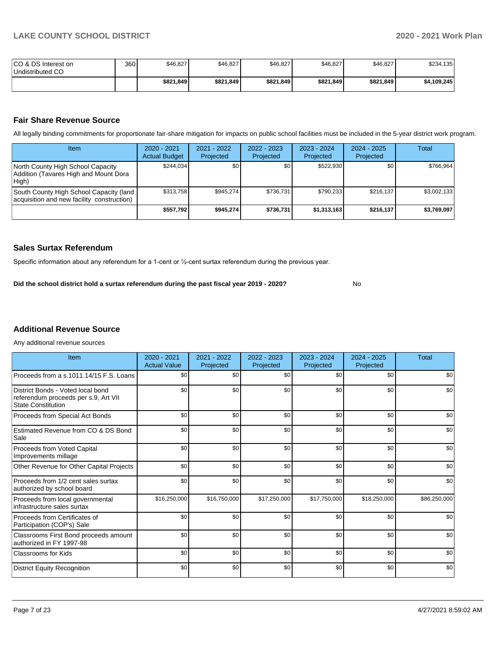| ICO & DS Interest on<br>Undistributed CO | 360 | \$46,827  | \$46,827  | \$46,827  | \$46,827  | \$46,827  | \$234,135   |
|------------------------------------------|-----|-----------|-----------|-----------|-----------|-----------|-------------|
|                                          |     | \$821.849 | \$821,849 | \$821,849 | \$821,849 | \$821,849 | \$4,109,245 |

#### **Fair Share Revenue Source**

All legally binding commitments for proportionate fair-share mitigation for impacts on public school facilities must be included in the 5-year district work program.

| Item                                                                                  | $2020 - 2021$<br><b>Actual Budget</b> | $2021 - 2022$<br>Projected | $2022 - 2023$<br>Projected | $2023 - 2024$<br>Projected | $2024 - 2025$<br>Projected | Total       |
|---------------------------------------------------------------------------------------|---------------------------------------|----------------------------|----------------------------|----------------------------|----------------------------|-------------|
| North County High School Capacity<br>Addition (Tavares High and Mount Dora<br>High)   | \$244.034                             | \$0                        | \$0                        | \$522.930                  | \$0                        | \$766.964   |
| South County High School Capacity (land<br>acquisition and new facility construction) | \$313.758                             | \$945.274                  | \$736.731                  | \$790.233                  | \$216.137                  | \$3,002,133 |
|                                                                                       | \$557.792                             | \$945.274                  | \$736,731                  | \$1,313,163                | \$216.137                  | \$3,769,097 |

#### **Sales Surtax Referendum**

Specific information about any referendum for a 1-cent or ½-cent surtax referendum during the previous year.

**Did the school district hold a surtax referendum during the past fiscal year 2019 - 2020?**

No

#### **Additional Revenue Source**

Any additional revenue sources

| Item                                                                                                   | $2020 - 2021$<br><b>Actual Value</b> | 2021 - 2022<br>Projected | 2022 - 2023<br>Projected | 2023 - 2024<br>Projected | 2024 - 2025<br>Projected | <b>Total</b> |
|--------------------------------------------------------------------------------------------------------|--------------------------------------|--------------------------|--------------------------|--------------------------|--------------------------|--------------|
| Proceeds from a s.1011.14/15 F.S. Loans                                                                | \$0                                  | \$0                      | \$0                      | \$0                      | \$0                      | \$0          |
| District Bonds - Voted local bond<br>referendum proceeds per s.9, Art VII<br><b>State Constitution</b> | \$0                                  | \$0                      | \$0                      | \$0                      | \$0                      | \$0          |
| Proceeds from Special Act Bonds                                                                        | \$0                                  | \$0                      | \$0                      | \$0                      | \$0                      | \$0          |
| Estimated Revenue from CO & DS Bond<br>Sale                                                            | \$0                                  | \$0                      | \$0                      | \$0                      | \$0                      | \$0          |
| Proceeds from Voted Capital<br>Improvements millage                                                    | \$0                                  | \$0                      | \$0                      | \$0                      | \$0                      | \$0          |
| Other Revenue for Other Capital Projects                                                               | \$0                                  | \$0                      | \$0                      | \$0                      | \$0                      | \$0          |
| Proceeds from 1/2 cent sales surtax<br>authorized by school board                                      | \$0                                  | \$0                      | \$0                      | \$0                      | \$0                      | \$0          |
| Proceeds from local governmental<br>infrastructure sales surtax                                        | \$16,250,000                         | \$16,750,000             | \$17,250,000             | \$17,750,000             | \$18,250,000             | \$86,250,000 |
| Proceeds from Certificates of<br>Participation (COP's) Sale                                            | \$0                                  | \$0                      | \$0                      | \$0                      | \$0                      | \$0          |
| Classrooms First Bond proceeds amount<br>authorized in FY 1997-98                                      | \$0                                  | \$0                      | \$0                      | \$0                      | \$0                      | \$0          |
| <b>Classrooms for Kids</b>                                                                             | \$0                                  | \$0                      | \$0                      | \$0                      | \$0                      | \$0          |
| <b>District Equity Recognition</b>                                                                     | \$0                                  | \$0                      | \$0                      | \$0                      | \$0                      | \$0          |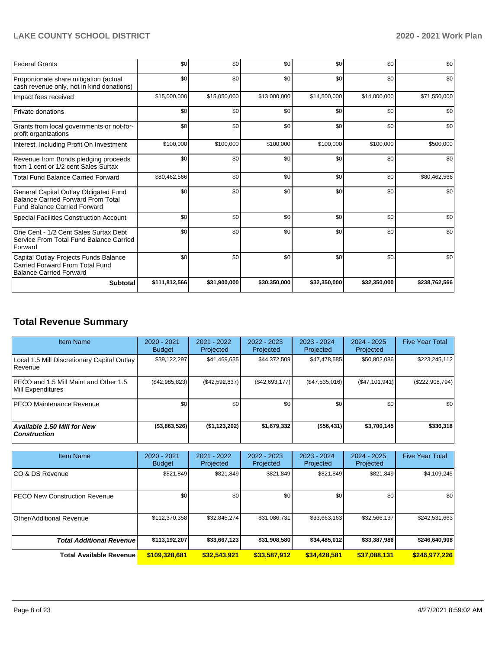| <b>Federal Grants</b>                                                                                                     | \$0           | \$0          | \$0          | \$0          | \$0          | \$0           |
|---------------------------------------------------------------------------------------------------------------------------|---------------|--------------|--------------|--------------|--------------|---------------|
| Proportionate share mitigation (actual<br>cash revenue only, not in kind donations)                                       | \$0           | \$0          | \$0          | \$0          | \$0          | \$0           |
| Impact fees received                                                                                                      | \$15,000,000  | \$15,050,000 | \$13,000,000 | \$14,500,000 | \$14,000,000 | \$71,550,000  |
| Private donations                                                                                                         | \$0           | \$0          | \$0          | \$0          | \$0          | \$0           |
| Grants from local governments or not-for-<br>profit organizations                                                         | \$0           | \$0          | \$0          | \$0          | \$0          | \$0           |
| Interest, Including Profit On Investment                                                                                  | \$100,000     | \$100,000    | \$100,000    | \$100,000    | \$100,000    | \$500,000     |
| Revenue from Bonds pledging proceeds<br>from 1 cent or 1/2 cent Sales Surtax                                              | \$0           | \$0          | \$0          | \$0          | \$0          | \$0           |
| <b>Total Fund Balance Carried Forward</b>                                                                                 | \$80,462,566  | \$0          | \$0          | \$0          | \$0          | \$80,462,566  |
| General Capital Outlay Obligated Fund<br><b>Balance Carried Forward From Total</b><br><b>Fund Balance Carried Forward</b> | \$0           | \$0          | \$0          | \$0          | \$0          | \$0           |
| Special Facilities Construction Account                                                                                   | \$0           | \$0          | \$0          | \$0          | \$0          | \$0           |
| One Cent - 1/2 Cent Sales Surtax Debt<br>Service From Total Fund Balance Carried<br>Forward                               | \$0           | \$0          | \$0          | \$0          | \$0          | \$0           |
| Capital Outlay Projects Funds Balance<br>Carried Forward From Total Fund<br><b>Balance Carried Forward</b>                | \$0           | \$0          | \$0          | \$0          | \$0          | \$0           |
| <b>Subtotal</b>                                                                                                           | \$111,812,566 | \$31,900,000 | \$30,350,000 | \$32,350,000 | \$32,350,000 | \$238,762,566 |

# **Total Revenue Summary**

| <b>Item Name</b>                                           | 2020 - 2021<br><b>Budget</b> | $2021 - 2022$<br>Projected | $2022 - 2023$<br>Projected | 2023 - 2024<br>Projected | $2024 - 2025$<br>Projected | <b>Five Year Total</b> |
|------------------------------------------------------------|------------------------------|----------------------------|----------------------------|--------------------------|----------------------------|------------------------|
| Local 1.5 Mill Discretionary Capital Outlay<br>Revenue     | \$39,122,297                 | \$41,469,635               | \$44,372,509               | \$47,478,585             | \$50,802,086               | \$223,245,112          |
| PECO and 1.5 Mill Maint and Other 1.5<br>Mill Expenditures | (\$42,985,823)               | (\$42,592,837)             | (S42, 693, 177)            | (\$47,535,016)           | (S47, 101, 941)            | (\$222,908,794)        |
| <b>IPECO Maintenance Revenue</b>                           | \$0                          | \$0 <sub>1</sub>           | \$0                        | \$0                      | \$0                        | \$0                    |
| <b>Available 1.50 Mill for New</b><br><b>Construction</b>  | ( \$3,863,526)               | (\$1,123,202)              | \$1,679,332                | ( \$56,431]              | \$3,700,145                | \$336,318              |

| <b>Item Name</b>                     | 2020 - 2021<br><b>Budget</b> | 2021 - 2022<br>Projected | 2022 - 2023<br>Projected | 2023 - 2024<br>Projected | 2024 - 2025<br>Projected | <b>Five Year Total</b> |
|--------------------------------------|------------------------------|--------------------------|--------------------------|--------------------------|--------------------------|------------------------|
| ICO & DS Revenue                     | \$821,849                    | \$821,849                | \$821.849                | \$821,849                | \$821,849                | \$4,109,245            |
| <b>PECO New Construction Revenue</b> | \$0                          | \$0 <sub>1</sub>         | \$0                      | \$0                      | \$0                      | \$0                    |
| Other/Additional Revenue             | \$112,370,358                | \$32,845,274             | \$31,086,731             | \$33,663,163             | \$32,566,137             | \$242,531,663          |
| <b>Total Additional Revenue</b>      | \$113,192,207                | \$33,667,123             | \$31,908,580             | \$34,485,012             | \$33,387,986             | \$246,640,908          |
| <b>Total Available Revenue</b>       | \$109,328,681                | \$32,543,921             | \$33,587,912             | \$34,428,581             | \$37,088,131             | \$246,977,226          |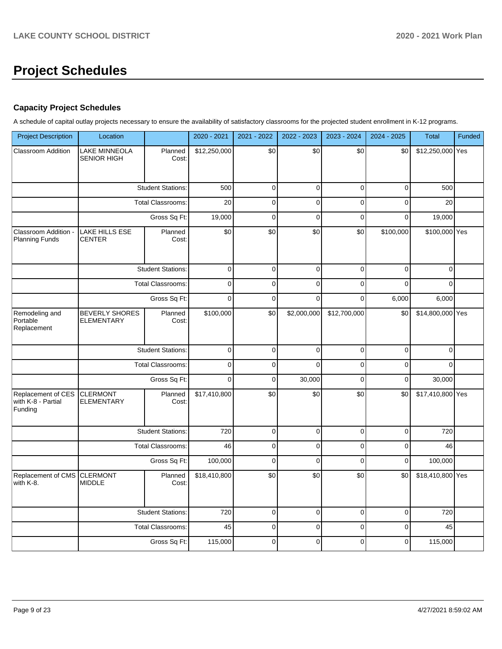# **Project Schedules**

#### **Capacity Project Schedules**

A schedule of capital outlay projects necessary to ensure the availability of satisfactory classrooms for the projected student enrollment in K-12 programs.

| <b>Project Description</b>                          | Location                                   |                          | 2020 - 2021  | 2021 - 2022 | 2022 - 2023 | 2023 - 2024     | 2024 - 2025 | Total            | Funded |
|-----------------------------------------------------|--------------------------------------------|--------------------------|--------------|-------------|-------------|-----------------|-------------|------------------|--------|
| <b>Classroom Addition</b>                           | LAKE MINNEOLA<br><b>SENIOR HIGH</b>        | Planned<br>Cost:         | \$12,250,000 | \$0         | \$0         | \$0             | \$0         | \$12,250,000 Yes |        |
|                                                     |                                            | <b>Student Stations:</b> | 500          | $\mathbf 0$ | $\mathbf 0$ | $\mathbf 0$     | $\mathbf 0$ | 500              |        |
|                                                     |                                            | <b>Total Classrooms:</b> | 20           | $\pmb{0}$   | $\pmb{0}$   | $\mathbf 0$     | $\pmb{0}$   | 20               |        |
|                                                     |                                            | Gross Sq Ft:             | 19,000       | $\mathbf 0$ | $\mathbf 0$ | $\mathbf 0$     | $\mathbf 0$ | 19,000           |        |
| Classroom Addition -<br><b>Planning Funds</b>       | LAKE HILLS ESE<br><b>CENTER</b>            | Planned<br>Cost:         | \$0          | \$0         | \$0         | \$0             | \$100,000   | \$100,000 Yes    |        |
|                                                     |                                            | <b>Student Stations:</b> | $\pmb{0}$    | $\pmb{0}$   | $\mathbf 0$ | $\pmb{0}$       | $\mathbf 0$ | $\pmb{0}$        |        |
|                                                     |                                            | <b>Total Classrooms:</b> | $\pmb{0}$    | $\pmb{0}$   | $\pmb{0}$   | $\Omega$        | $\Omega$    | $\Omega$         |        |
|                                                     |                                            | Gross Sq Ft:             | $\mathbf 0$  | $\mathbf 0$ | $\mathbf 0$ | $\mathbf 0$     | 6,000       | 6,000            |        |
| Remodeling and<br>Portable<br>Replacement           | <b>BEVERLY SHORES</b><br><b>ELEMENTARY</b> | Planned<br>Cost:         | \$100,000    | \$0         | \$2,000,000 | \$12,700,000    | \$0         | \$14,800,000 Yes |        |
|                                                     |                                            | <b>Student Stations:</b> | $\pmb{0}$    | $\pmb{0}$   | $\pmb{0}$   | $\pmb{0}$       | $\pmb{0}$   | $\mathbf{0}$     |        |
|                                                     |                                            | Total Classrooms:        | $\mathbf 0$  | $\mathbf 0$ | $\Omega$    | $\mathbf 0$     | $\mathbf 0$ | $\mathbf 0$      |        |
|                                                     |                                            | Gross Sq Ft:             | $\mathbf 0$  | $\mathbf 0$ | 30,000      | $\mathbf 0$     | $\mathbf 0$ | 30,000           |        |
| Replacement of CES<br>with K-8 - Partial<br>Funding | <b>CLERMONT</b><br><b>ELEMENTARY</b>       | Planned<br>Cost:         | \$17,410,800 | \$0         | \$0         | $\overline{30}$ | \$0         | \$17,410,800 Yes |        |
|                                                     |                                            | <b>Student Stations:</b> | 720          | $\mathbf 0$ | $\pmb{0}$   | $\pmb{0}$       | $\mathbf 0$ | 720              |        |
|                                                     |                                            | <b>Total Classrooms:</b> | 46           | $\mathbf 0$ | $\pmb{0}$   | $\mathbf 0$     | $\mathbf 0$ | 46               |        |
|                                                     |                                            | Gross Sq Ft:             | 100,000      | $\mathbf 0$ | $\mathbf 0$ | $\mathbf 0$     | $\mathbf 0$ | 100,000          |        |
| Replacement of CMS<br>with K-8.                     | <b>CLERMONT</b><br><b>MIDDLE</b>           | Planned<br>Cost:         | \$18,410,800 | \$0         | \$0         | \$0             | \$0         | \$18,410,800 Yes |        |
|                                                     |                                            | <b>Student Stations:</b> | 720          | $\mathbf 0$ | $\mathbf 0$ | $\mathbf 0$     | $\mathbf 0$ | 720              |        |
|                                                     |                                            | <b>Total Classrooms:</b> | 45           | $\mathbf 0$ | $\pmb{0}$   | $\mathbf 0$     | $\mathbf 0$ | 45               |        |
|                                                     |                                            | Gross Sq Ft:             | 115,000      | $\mathbf 0$ | $\mathbf 0$ | $\mathbf 0$     | $\mathbf 0$ | 115,000          |        |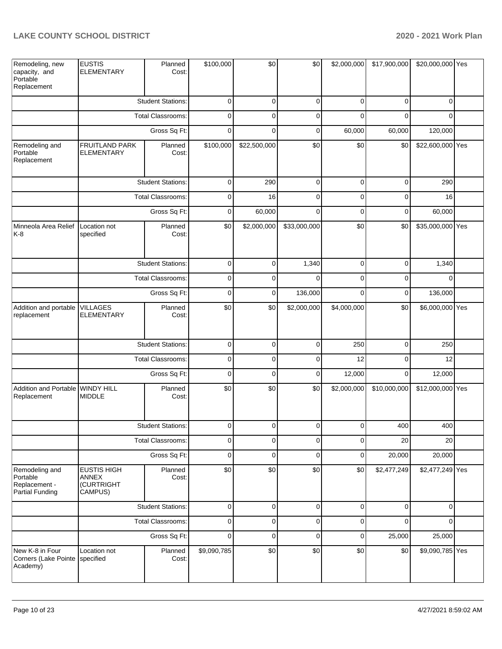| Remodeling, new<br>capacity, and<br>Portable<br>Replacement           | <b>EUSTIS</b><br><b>ELEMENTARY</b>                   | Planned<br>Cost:         | \$100,000      | \$0          | \$0          | \$2,000,000 | \$17,900,000 | \$20,000,000 Yes |  |
|-----------------------------------------------------------------------|------------------------------------------------------|--------------------------|----------------|--------------|--------------|-------------|--------------|------------------|--|
|                                                                       |                                                      | <b>Student Stations:</b> | $\mathbf 0$    | $\mathbf 0$  | $\mathbf 0$  | $\mathbf 0$ | $\mathbf 0$  | $\mathbf 0$      |  |
|                                                                       | Total Classrooms:                                    |                          | $\mathbf 0$    | $\mathbf 0$  | $\mathbf 0$  | $\Omega$    | $\mathbf 0$  | $\Omega$         |  |
|                                                                       |                                                      | Gross Sq Ft:             | $\mathbf 0$    | $\mathbf 0$  | $\mathbf 0$  | 60,000      | 60,000       | 120,000          |  |
| Remodeling and<br>Portable<br>Replacement                             | FRUITLAND PARK<br><b>ELEMENTARY</b>                  | Planned<br>Cost:         | \$100,000      | \$22,500,000 | \$0          | \$0         | \$0          | \$22,600,000 Yes |  |
|                                                                       |                                                      | <b>Student Stations:</b> | $\pmb{0}$      | 290          | $\mathbf 0$  | $\mathbf 0$ | $\mathbf 0$  | 290              |  |
|                                                                       |                                                      | <b>Total Classrooms:</b> | 0              | 16           | $\mathbf 0$  | 0           | $\mathbf 0$  | 16               |  |
|                                                                       |                                                      | Gross Sq Ft:             | 0              | 60,000       | $\mathbf 0$  | $\mathbf 0$ | $\mathbf 0$  | 60,000           |  |
| Minneola Area Relief<br>$K-8$                                         | Location not<br>specified                            | Planned<br>Cost:         | \$0            | \$2,000,000  | \$33,000,000 | \$0         | \$0          | \$35,000,000 Yes |  |
|                                                                       |                                                      | <b>Student Stations:</b> | $\mathbf 0$    | $\mathbf 0$  | 1,340        | $\mathbf 0$ | 0            | 1,340            |  |
|                                                                       |                                                      | <b>Total Classrooms:</b> | $\mathbf 0$    | 0            | $\mathbf 0$  | $\mathbf 0$ | $\mathbf 0$  | $\mathbf 0$      |  |
|                                                                       | Gross Sq Ft:                                         |                          | $\mathbf 0$    | $\mathbf 0$  | 136,000      | $\mathbf 0$ | 0            | 136,000          |  |
| Addition and portable<br>replacement                                  | <b>VILLAGES</b><br><b>ELEMENTARY</b>                 | Planned<br>Cost:         | \$0            | \$0          | \$2,000,000  | \$4,000,000 | \$0          | \$6,000,000 Yes  |  |
|                                                                       |                                                      | <b>Student Stations:</b> | $\pmb{0}$      | $\mathbf 0$  | $\mathbf 0$  | 250         | $\pmb{0}$    | 250              |  |
|                                                                       |                                                      | <b>Total Classrooms:</b> | $\pmb{0}$      | $\mathbf 0$  | $\mathbf 0$  | 12          | $\mathbf 0$  | 12               |  |
|                                                                       |                                                      | Gross Sq Ft:             | $\mathbf 0$    | $\mathbf 0$  | $\mathbf 0$  | 12,000      | $\pmb{0}$    | 12,000           |  |
| Addition and Portable WINDY HILL<br>Replacement                       | <b>MIDDLE</b>                                        | Planned<br>Cost:         | \$0            | \$0          | \$0          | \$2,000,000 | \$10,000,000 | \$12,000,000 Yes |  |
|                                                                       |                                                      | <b>Student Stations:</b> | $\overline{0}$ | $\Omega$     | $\mathbf 0$  | $\Omega$    | 400          | 400              |  |
|                                                                       |                                                      | <b>Total Classrooms:</b> | $\mathbf 0$    | $\mathbf 0$  | $\mathbf 0$  | 0           | 20           | 20               |  |
|                                                                       |                                                      | Gross Sq Ft:             | $\mathbf 0$    | $\mathbf 0$  | $\mathbf 0$  | 0           | 20,000       | 20,000           |  |
| Remodeling and<br>Portable<br>Replacement -<br><b>Partial Funding</b> | <b>EUSTIS HIGH</b><br>ANNEX<br>(CURTRIGHT<br>CAMPUS) | Planned<br>Cost:         | \$0            | \$0          | \$0          | \$0         | \$2,477,249  | \$2,477,249 Yes  |  |
|                                                                       |                                                      | <b>Student Stations:</b> | $\mathbf 0$    | $\mathbf 0$  | $\mathbf 0$  | $\mathbf 0$ | $\mathbf 0$  | $\mathbf 0$      |  |
|                                                                       |                                                      | Total Classrooms:        | $\pmb{0}$      | $\mathbf 0$  | $\mathbf 0$  | 0           | $\mathbf 0$  | $\Omega$         |  |
|                                                                       |                                                      | Gross Sq Ft:             | $\pmb{0}$      | $\mathbf 0$  | $\mathbf 0$  | $\mathbf 0$ | 25,000       | 25,000           |  |
| New K-8 in Four<br>Corners (Lake Pointe<br>Academy)                   | Location not<br>specified                            | Planned<br>Cost:         | \$9,090,785    | \$0          | \$0          | \$0         | \$0          | \$9,090,785 Yes  |  |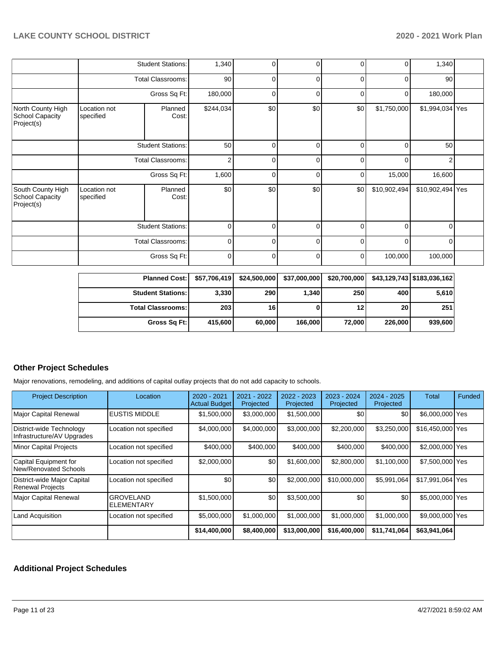|                                                    |                           | <b>Student Stations:</b> | 1,340          | ٥I                      | 0        | 0        | 0            | 1,340            |  |
|----------------------------------------------------|---------------------------|--------------------------|----------------|-------------------------|----------|----------|--------------|------------------|--|
|                                                    | <b>Total Classrooms:</b>  |                          | 90             | $\overline{0}$          | 0        | 0        | $\Omega$     | 90               |  |
|                                                    |                           | Gross Sq Ft:             | 180,000        | 0                       | 0        | 0        | 0            | 180,000          |  |
| North County High<br>School Capacity<br>Project(s) | Location not<br>specified | Planned<br>Cost:         | \$244,034      | \$0                     | \$0      | \$0      | \$1,750,000  | \$1,994,034 Yes  |  |
|                                                    |                           | <b>Student Stations:</b> | 50             | $\mathbf 0$             | 0        | 0        | $\Omega$     | 50               |  |
|                                                    | <b>Total Classrooms:</b>  |                          | $\overline{2}$ | 0                       | 0        | $\Omega$ | $\Omega$     | 2                |  |
|                                                    |                           | Gross Sq Ft:             | 1,600          | $\overline{0}$          | 0        | 0        | 15,000       | 16,600           |  |
| South County High<br>School Capacity<br>Project(s) | Location not<br>specified | Planned<br>Cost:         | \$0            | \$0                     | \$0      | \$0      | \$10,902,494 | \$10,902,494 Yes |  |
|                                                    |                           | <b>Student Stations:</b> | $\mathbf 0$    | 0                       | $\Omega$ | $\Omega$ | $\Omega$     | $\Omega$         |  |
|                                                    |                           | <b>Total Classrooms:</b> |                | $\mathbf 0$<br>$\Omega$ | $\Omega$ | $\Omega$ | $\Omega$     | $\Omega$         |  |
|                                                    |                           | Gross Sq Ft:             | $\mathbf 0$    | ٥I                      | 0        | 0        | 100,000      | 100,000          |  |

| Planned Cost:   \$57,706,419   \$24,500,000 |             |        | \$37,000,000 | \$20,700,000 |         | \$43,129,743 \$183,036,162 |
|---------------------------------------------|-------------|--------|--------------|--------------|---------|----------------------------|
| <b>Student Stations:</b>                    | 3,330       | 290    | 1,340        | 250          | 400     | 5,610                      |
| <b>Total Classrooms:</b>                    | <b>2031</b> | 16     |              | 12           | 20      | 251                        |
| Gross Sq Ft:                                | 415.600     | 60.000 | 166,000      | 72.000       | 226,000 | 939,600                    |

#### **Other Project Schedules**

Major renovations, remodeling, and additions of capital outlay projects that do not add capacity to schools.

| <b>Project Description</b>                             | Location                       | 2020 - 2021<br><b>Actual Budget</b> | 2021 - 2022<br>Projected | 2022 - 2023<br>Projected | 2023 - 2024<br>Projected | $2024 - 2025$<br>Projected | Total            | Funded |
|--------------------------------------------------------|--------------------------------|-------------------------------------|--------------------------|--------------------------|--------------------------|----------------------------|------------------|--------|
| <b>Major Capital Renewal</b>                           | <b>EUSTIS MIDDLE</b>           | \$1,500,000                         | \$3,000,000              | \$1,500,000              | \$0                      | \$0                        | \$6,000,000 Yes  |        |
| District-wide Technology<br>Infrastructure/AV Upgrades | Location not specified         | \$4,000,000                         | \$4,000,000              | \$3,000,000              | \$2,200,000              | \$3,250,000                | \$16,450,000 Yes |        |
| <b>Minor Capital Projects</b>                          | Location not specified         | \$400,000                           | \$400,000                | \$400,000                | \$400,000                | \$400,000                  | \$2,000,000 Yes  |        |
| Capital Equipment for<br>New/Renovated Schools         | Location not specified         | \$2,000,000                         | \$0                      | \$1,600,000              | \$2,800,000              | \$1.100.000                | \$7,500,000 Yes  |        |
| District-wide Major Capital<br><b>Renewal Projects</b> | Location not specified         | \$0                                 | \$0                      | \$2,000,000              | \$10,000,000             | \$5,991,064                | \$17,991,064 Yes |        |
| Major Capital Renewal                                  | <b>GROVELAND</b><br>ELEMENTARY | \$1,500,000                         | \$0                      | \$3,500,000              | \$0                      | \$0                        | \$5,000,000 Yes  |        |
| <b>Land Acquisition</b>                                | Location not specified         | \$5,000,000                         | \$1,000,000              | \$1,000,000              | \$1,000,000              | \$1,000,000                | \$9,000,000 Yes  |        |
|                                                        |                                | \$14,400,000                        | \$8,400,000              | \$13,000,000             | \$16,400,000             | \$11,741,064               | \$63,941,064     |        |

### **Additional Project Schedules**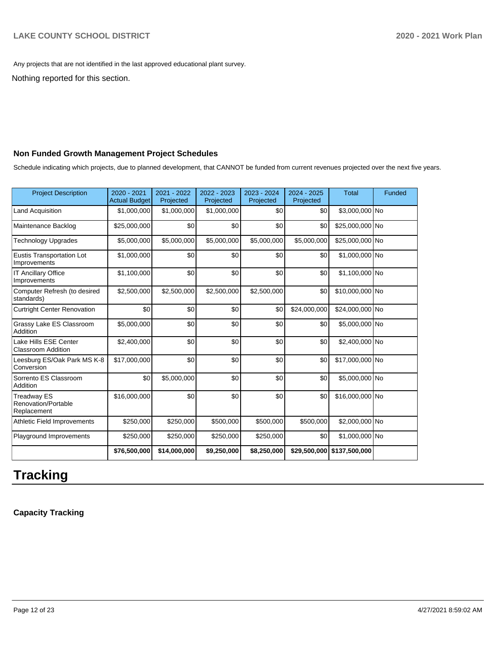Any projects that are not identified in the last approved educational plant survey.

Nothing reported for this section.

#### **Non Funded Growth Management Project Schedules**

Schedule indicating which projects, due to planned development, that CANNOT be funded from current revenues projected over the next five years.

| <b>Project Description</b>                               | 2020 - 2021<br><b>Actual Budget</b> | 2021 - 2022<br>Projected | 2022 - 2023<br>Projected | 2023 - 2024<br>Projected | $2024 - 2025$<br>Projected | <b>Total</b>               | Funded |
|----------------------------------------------------------|-------------------------------------|--------------------------|--------------------------|--------------------------|----------------------------|----------------------------|--------|
| <b>Land Acquisition</b>                                  | \$1,000,000                         | \$1,000,000              | \$1,000,000              | \$0                      | \$0                        | \$3,000,000 No             |        |
| Maintenance Backlog                                      | \$25,000,000                        | \$0                      | \$0                      | \$0                      | \$0                        | \$25,000,000 No            |        |
| <b>Technology Upgrades</b>                               | \$5,000,000                         | \$5,000,000              | \$5,000,000              | \$5,000,000              | \$5,000,000                | \$25,000,000 No            |        |
| <b>Eustis Transportation Lot</b><br>Improvements         | \$1,000,000                         | \$0                      | \$0                      | \$0                      | \$0                        | \$1,000,000 No             |        |
| <b>IT Ancillary Office</b><br>Improvements               | \$1,100,000                         | \$0                      | \$0                      | \$0                      | \$0                        | \$1,100,000 No             |        |
| Computer Refresh (to desired<br>standards)               | \$2,500,000                         | \$2,500,000              | \$2,500,000              | \$2,500,000              | \$0                        | \$10,000,000 No            |        |
| <b>Curtright Center Renovation</b>                       | \$0                                 | \$0                      | \$0                      | \$0                      | \$24,000,000               | \$24,000,000 No            |        |
| Grassy Lake ES Classroom<br>Addition                     | \$5,000,000                         | \$0                      | \$0                      | \$0                      | \$0                        | \$5,000,000 No             |        |
| Lake Hills ESE Center<br><b>Classroom Addition</b>       | \$2,400,000                         | \$0                      | \$0                      | \$0                      | \$0                        | \$2,400,000 No             |        |
| Leesburg ES/Oak Park MS K-8<br>Conversion                | \$17,000,000                        | \$0                      | \$0                      | \$0                      | \$0                        | \$17,000,000 No            |        |
| Sorrento ES Classroom<br>Addition                        | \$0                                 | \$5,000,000              | \$0                      | \$0                      | \$0                        | \$5,000,000 No             |        |
| <b>Treadway ES</b><br>Renovation/Portable<br>Replacement | \$16,000,000                        | \$0                      | \$0                      | \$0                      | \$0                        | \$16,000,000 No            |        |
| Athletic Field Improvements                              | \$250,000                           | \$250,000                | \$500,000                | \$500,000                | \$500,000                  | \$2,000,000 No             |        |
| Playground Improvements                                  | \$250,000                           | \$250,000                | \$250,000                | \$250,000                | \$0                        | \$1,000,000 No             |        |
|                                                          | \$76,500,000                        | \$14,000,000             | \$9,250,000              | \$8,250,000              |                            | \$29,500,000 \$137,500,000 |        |

# **Tracking**

**Capacity Tracking**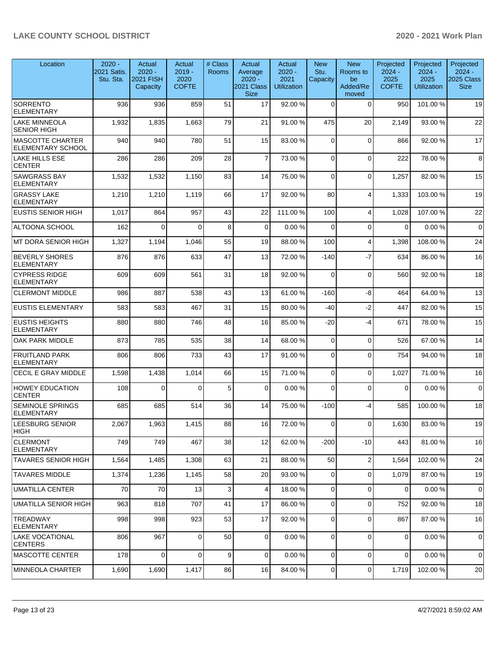| Location                                            | $2020 -$<br>2021 Satis.<br>Stu. Sta. | Actual<br>$2020 -$<br><b>2021 FISH</b><br>Capacity | Actual<br>$2019 -$<br>2020<br><b>COFTE</b> | # Class<br>Rooms | Actual<br>Average<br>$2020 -$<br>2021 Class<br><b>Size</b> | Actual<br>$2020 -$<br>2021<br><b>Utilization</b> | <b>New</b><br>Stu.<br>Capacity | <b>New</b><br>Rooms to<br>be<br>Added/Re<br>moved | Projected<br>$2024 -$<br>2025<br><b>COFTE</b> | Projected<br>$2024 -$<br>2025<br><b>Utilization</b> | Projected<br>$2024 -$<br>2025 Class  <br><b>Size</b> |
|-----------------------------------------------------|--------------------------------------|----------------------------------------------------|--------------------------------------------|------------------|------------------------------------------------------------|--------------------------------------------------|--------------------------------|---------------------------------------------------|-----------------------------------------------|-----------------------------------------------------|------------------------------------------------------|
| <b>SORRENTO</b><br><b>ELEMENTARY</b>                | 936                                  | 936                                                | 859                                        | 51               | 17                                                         | 92.00 %                                          | $\Omega$                       | $\Omega$                                          | 950                                           | 101.00%                                             | 19                                                   |
| <b>LAKE MINNEOLA</b><br><b>SENIOR HIGH</b>          | 1,932                                | 1,835                                              | 1,663                                      | 79               | 21                                                         | 91.00%                                           | 475                            | 20                                                | 2,149                                         | 93.00 %                                             | 22                                                   |
| <b>MASCOTTE CHARTER</b><br><b>ELEMENTARY SCHOOL</b> | 940                                  | 940                                                | 780                                        | 51               | 15                                                         | 83.00 %                                          | $\Omega$                       | $\Omega$                                          | 866                                           | 92.00 %                                             | 17                                                   |
| LAKE HILLS ESE<br><b>CENTER</b>                     | 286                                  | 286                                                | 209                                        | 28               | $\overline{7}$                                             | 73.00 %                                          | $\Omega$                       | $\Omega$                                          | 222                                           | 78.00 %                                             | 8                                                    |
| <b>SAWGRASS BAY</b><br><b>ELEMENTARY</b>            | 1,532                                | 1,532                                              | 1,150                                      | 83               | 14                                                         | 75.00 %                                          | $\Omega$                       | $\Omega$                                          | 1,257                                         | 82.00 %                                             | 15                                                   |
| <b>GRASSY LAKE</b><br><b>ELEMENTARY</b>             | 1,210                                | 1,210                                              | 1,119                                      | 66               | 17                                                         | 92.00 %                                          | 80                             | $\overline{\mathbf{4}}$                           | 1,333                                         | 103.00 %                                            | 19                                                   |
| <b>EUSTIS SENIOR HIGH</b>                           | 1,017                                | 864                                                | 957                                        | 43               | 22                                                         | 111.00%                                          | 100                            | $\overline{4}$                                    | 1,028                                         | 107.00%                                             | 22                                                   |
| ALTOONA SCHOOL                                      | 162                                  | $\Omega$                                           | $\Omega$                                   | 8                | $\overline{0}$                                             | 0.00%                                            | $\Omega$                       | $\Omega$                                          | $\mathbf 0$                                   | 0.00%                                               | $\overline{0}$                                       |
| <b>MT DORA SENIOR HIGH</b>                          | 1,327                                | 1,194                                              | 1,046                                      | 55               | 19                                                         | 88.00 %                                          | 100                            | $\overline{4}$                                    | 1,398                                         | 108.00%                                             | 24                                                   |
| <b>BEVERLY SHORES</b><br><b>ELEMENTARY</b>          | 876                                  | 876                                                | 633                                        | 47               | 13                                                         | 72.00%                                           | $-140$                         | $-7$                                              | 634                                           | 86.00 %                                             | 16                                                   |
| <b>CYPRESS RIDGE</b><br><b>ELEMENTARY</b>           | 609                                  | 609                                                | 561                                        | 31               | 18                                                         | 92.00 %                                          | $\Omega$                       | $\mathbf 0$                                       | 560                                           | 92.00 %                                             | 18                                                   |
| <b>CLERMONT MIDDLE</b>                              | 986                                  | 887                                                | 538                                        | 43               | 13                                                         | 61.00%                                           | $-160$                         | -8                                                | 464                                           | 64.00%                                              | 13                                                   |
| <b>EUSTIS ELEMENTARY</b>                            | 583                                  | 583                                                | 467                                        | 31               | 15                                                         | 80.00%                                           | -40                            | $-2$                                              | 447                                           | 82.00 %                                             | 15                                                   |
| <b>EUSTIS HEIGHTS</b><br><b>ELEMENTARY</b>          | 880                                  | 880                                                | 746                                        | 48               | 16                                                         | 85.00 %                                          | $-20$                          | $-4$                                              | 671                                           | 78.00 %                                             | 15                                                   |
| OAK PARK MIDDLE                                     | 873                                  | 785                                                | 535                                        | 38               | 14                                                         | 68.00 %                                          | $\Omega$                       | $\Omega$                                          | 526                                           | 67.00 %                                             | 14                                                   |
| <b>FRUITLAND PARK</b><br>ELEMENTARY                 | 806                                  | 806                                                | 733                                        | 43               | 17                                                         | 91.00%                                           | $\Omega$                       | $\Omega$                                          | 754                                           | 94.00 %                                             | 18                                                   |
| <b>CECIL E GRAY MIDDLE</b>                          | 1,598                                | 1,438                                              | 1,014                                      | 66               | 15                                                         | 71.00%                                           | $\Omega$                       | $\Omega$                                          | 1,027                                         | 71.00 %                                             | 16                                                   |
| <b>HOWEY EDUCATION</b><br><b>CENTER</b>             | 108                                  | $\Omega$                                           | $\Omega$                                   | 5                | $\Omega$                                                   | 0.00%                                            | $\Omega$                       | $\Omega$                                          | $\Omega$                                      | 0.00%                                               | $\overline{0}$                                       |
| <b>SEMINOLE SPRINGS</b><br><b>ELEMENTARY</b>        | 685                                  | 685                                                | 514                                        | 36               | 14                                                         | 75.00 %                                          | $-100$                         | -4                                                | 585                                           | 100.00%                                             | 18                                                   |
| LEESBURG SENIOR<br> HIGH                            | 2,067                                | 1,963                                              | 1,415                                      | 88               | 16                                                         | 72.00 %                                          | $\Omega$                       | $\mathbf 0$                                       | 1,630                                         | 83.00 %                                             | $19$                                                 |
| <b>CLERMONT</b><br><b>ELEMENTARY</b>                | 749                                  | 749                                                | 467                                        | 38               | 12                                                         | 62.00 %                                          | $-200$                         | $-10$                                             | 443                                           | 81.00 %                                             | 16                                                   |
| <b>TAVARES SENIOR HIGH</b>                          | 1,564                                | 1,485                                              | 1,308                                      | 63               | 21                                                         | 88.00 %                                          | 50                             | 2                                                 | 1,564                                         | 102.00%                                             | 24                                                   |
| <b>TAVARES MIDDLE</b>                               | 1,374                                | 1,236                                              | 1,145                                      | 58               | 20                                                         | 93.00 %                                          | $\Omega$                       | 0                                                 | 1,079                                         | 87.00 %                                             | 19                                                   |
| UMATILLA CENTER                                     | 70                                   | 70                                                 | 13                                         | 3                | $\overline{4}$                                             | 18.00 %                                          | $\overline{0}$                 | 0                                                 | $\mathbf 0$                                   | 0.00%                                               | $\mathbf 0$                                          |
| UMATILLA SENIOR HIGH                                | 963                                  | 818                                                | 707                                        | 41               | 17                                                         | 86.00 %                                          | $\overline{0}$                 | 0                                                 | 752                                           | 92.00 %                                             | 18                                                   |
| <b>TREADWAY</b><br><b>ELEMENTARY</b>                | 998                                  | 998                                                | 923                                        | 53               | 17                                                         | 92.00 %                                          | $\overline{0}$                 | $\Omega$                                          | 867                                           | 87.00 %                                             | 16                                                   |
| <b>LAKE VOCATIONAL</b><br><b>CENTERS</b>            | 806                                  | 967                                                | 0                                          | 50               | $\overline{0}$                                             | 0.00%                                            | $\overline{0}$                 | $\mathbf 0$                                       | $\mathbf 0$                                   | 0.00%                                               | $\mathbf 0$                                          |
| <b>MASCOTTE CENTER</b>                              | 178                                  | $\mathbf 0$                                        | $\Omega$                                   | 9                | $\Omega$                                                   | 0.00%                                            | $\Omega$                       | 0                                                 | $\overline{0}$                                | 0.00%                                               | $\overline{0}$                                       |
| MINNEOLA CHARTER                                    | 1,690                                | 1,690                                              | 1,417                                      | 86               | 16                                                         | 84.00%                                           | $\overline{0}$                 | 0                                                 | 1,719                                         | 102.00%                                             | 20                                                   |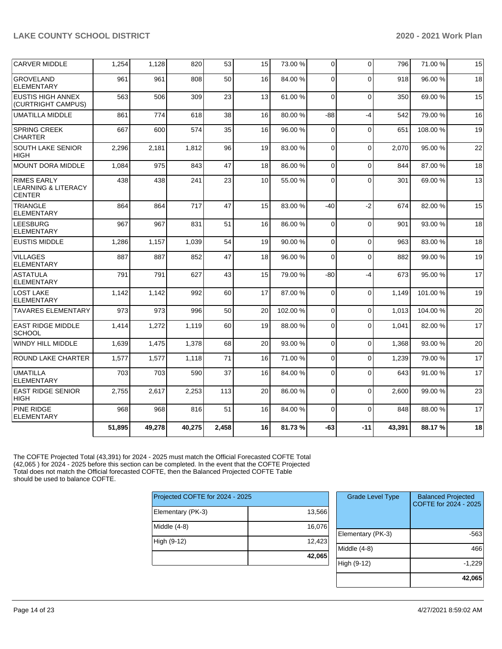| <b>CARVER MIDDLE</b>                                                  | 1,254  | 1,128  | 820    | 53    | 15 | 73.00 % | $\overline{0}$ | $\Omega$     | 796    | 71.00 % | 15 |
|-----------------------------------------------------------------------|--------|--------|--------|-------|----|---------|----------------|--------------|--------|---------|----|
| <b>GROVELAND</b><br><b>ELEMENTARY</b>                                 | 961    | 961    | 808    | 50    | 16 | 84.00%  | 0              | $\Omega$     | 918    | 96.00 % | 18 |
| <b>EUSTIS HIGH ANNEX</b><br>(CURTRIGHT CAMPUS)                        | 563    | 506    | 309    | 23    | 13 | 61.00%  | $\mathbf 0$    | $\mathbf{0}$ | 350    | 69.00%  | 15 |
| <b>UMATILLA MIDDLE</b>                                                | 861    | 774    | 618    | 38    | 16 | 80.00%  | -88            | $-4$         | 542    | 79.00%  | 16 |
| <b>SPRING CREEK</b><br><b>CHARTER</b>                                 | 667    | 600    | 574    | 35    | 16 | 96.00 % | $\mathbf 0$    | $\Omega$     | 651    | 108.00% | 19 |
| SOUTH LAKE SENIOR<br><b>HIGH</b>                                      | 2,296  | 2,181  | 1,812  | 96    | 19 | 83.00 % | $\mathbf 0$    | $\Omega$     | 2,070  | 95.00 % | 22 |
| MOUNT DORA MIDDLE                                                     | 1,084  | 975    | 843    | 47    | 18 | 86.00 % | 0              | $\Omega$     | 844    | 87.00 % | 18 |
| <b>RIMES EARLY</b><br><b>LEARNING &amp; LITERACY</b><br><b>CENTER</b> | 438    | 438    | 241    | 23    | 10 | 55.00 % | $\Omega$       | $\Omega$     | 301    | 69.00 % | 13 |
| <b>TRIANGLE</b><br><b>ELEMENTARY</b>                                  | 864    | 864    | 717    | 47    | 15 | 83.00 % | -40            | $-2$         | 674    | 82.00 % | 15 |
| <b>LEESBURG</b><br><b>ELEMENTARY</b>                                  | 967    | 967    | 831    | 51    | 16 | 86.00 % | $\mathbf 0$    | $\Omega$     | 901    | 93.00 % | 18 |
| <b>EUSTIS MIDDLE</b>                                                  | 1,286  | 1,157  | 1,039  | 54    | 19 | 90.00 % | $\mathbf 0$    | $\Omega$     | 963    | 83.00 % | 18 |
| <b>VILLAGES</b><br><b>ELEMENTARY</b>                                  | 887    | 887    | 852    | 47    | 18 | 96.00 % | $\mathbf 0$    | $\Omega$     | 882    | 99.00 % | 19 |
| <b>ASTATULA</b><br><b>ELEMENTARY</b>                                  | 791    | 791    | 627    | 43    | 15 | 79.00 % | $-80$          | $-4$         | 673    | 95.00 % | 17 |
| LOST LAKE<br><b>ELEMENTARY</b>                                        | 1,142  | 1,142  | 992    | 60    | 17 | 87.00 % | $\mathbf 0$    | $\Omega$     | 1,149  | 101.00% | 19 |
| <b>TAVARES ELEMENTARY</b>                                             | 973    | 973    | 996    | 50    | 20 | 102.00% | 0              | $\Omega$     | 1,013  | 104.00% | 20 |
| <b>EAST RIDGE MIDDLE</b><br><b>SCHOOL</b>                             | 1,414  | 1,272  | 1,119  | 60    | 19 | 88.00 % | 0              | $\Omega$     | 1,041  | 82.00 % | 17 |
| <b>WINDY HILL MIDDLE</b>                                              | 1,639  | 1,475  | 1,378  | 68    | 20 | 93.00 % | $\mathbf 0$    | $\Omega$     | 1,368  | 93.00 % | 20 |
| <b>ROUND LAKE CHARTER</b>                                             | 1,577  | 1,577  | 1.118  | 71    | 16 | 71.00%  | 0              | $\Omega$     | 1.239  | 79.00 % | 17 |
| <b>UMATILLA</b><br><b>ELEMENTARY</b>                                  | 703    | 703    | 590    | 37    | 16 | 84.00 % | $\mathbf 0$    | $\Omega$     | 643    | 91.00 % | 17 |
| <b>EAST RIDGE SENIOR</b><br><b>HIGH</b>                               | 2,755  | 2,617  | 2,253  | 113   | 20 | 86.00 % | $\Omega$       | $\Omega$     | 2.600  | 99.00 % | 23 |
| PINE RIDGE<br><b>ELEMENTARY</b>                                       | 968    | 968    | 816    | 51    | 16 | 84.00%  | $\Omega$       | $\Omega$     | 848    | 88.00 % | 17 |
|                                                                       | 51,895 | 49,278 | 40,275 | 2,458 | 16 | 81.73%  | -63            | $-11$        | 43,391 | 88.17%  | 18 |

The COFTE Projected Total (43,391) for 2024 - 2025 must match the Official Forecasted COFTE Total (42,065 ) for 2024 - 2025 before this section can be completed. In the event that the COFTE Projected Total does not match the Official forecasted COFTE, then the Balanced Projected COFTE Table should be used to balance COFTE.

| 13,566 |
|--------|
| 16,076 |
| 12,423 |
| 42,065 |
|        |

| <b>Grade Level Type</b> | <b>Balanced Projected</b><br>COFTE for 2024 - 2025 |
|-------------------------|----------------------------------------------------|
| Elementary (PK-3)       | -563                                               |
| Middle (4-8)            | 466                                                |
| High (9-12)             | $-1,229$                                           |
|                         | 42,065                                             |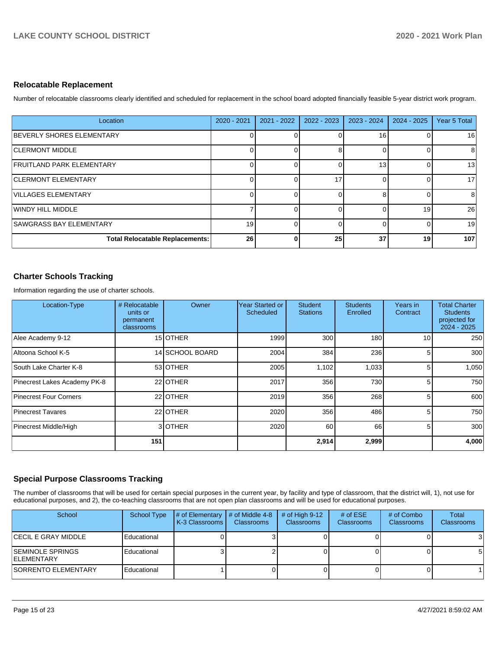#### **Relocatable Replacement**

Number of relocatable classrooms clearly identified and scheduled for replacement in the school board adopted financially feasible 5-year district work program.

| Location                               | $2020 - 2021$ | $2021 - 2022$ | $2022 - 2023$ | $2023 - 2024$ | $2024 - 2025$ | Year 5 Total |
|----------------------------------------|---------------|---------------|---------------|---------------|---------------|--------------|
| BEVERLY SHORES ELEMENTARY              |               |               |               | 16            |               | 16           |
| <b>CLERMONT MIDDLE</b>                 |               |               |               |               |               | 8            |
| <b>FRUITLAND PARK ELEMENTARY</b>       |               |               |               | 13            |               | 13           |
| <b>CLERMONT ELEMENTARY</b>             | U             |               | 17            |               |               | 17           |
| VILLAGES ELEMENTARY                    |               |               |               |               |               | 8            |
| WINDY HILL MIDDLE                      |               |               |               |               | 19            | 26           |
| <b>SAWGRASS BAY ELEMENTARY</b>         | 19            |               |               |               |               | 19           |
| <b>Total Relocatable Replacements:</b> | 26            |               | 25            | 37            | 19            | 107          |

#### **Charter Schools Tracking**

Information regarding the use of charter schools.

| Location-Type                | # Relocatable<br>units or<br>permanent<br>classrooms | Owner           | Year Started or<br>Scheduled | <b>Student</b><br><b>Stations</b> | <b>Students</b><br>Enrolled | Years in<br>Contract | <b>Total Charter</b><br><b>Students</b><br>projected for<br>$2024 - 2025$ |
|------------------------------|------------------------------------------------------|-----------------|------------------------------|-----------------------------------|-----------------------------|----------------------|---------------------------------------------------------------------------|
| Alee Academy 9-12            |                                                      | 15 OTHER        | 1999                         | 300                               | 180                         | 10                   | 250                                                                       |
| Altoona School K-5           |                                                      | 14 SCHOOL BOARD | 2004                         | 384                               | 236                         | 5                    | 300                                                                       |
| South Lake Charter K-8       |                                                      | 53 OTHER        | 2005                         | 1,102                             | 1,033                       | 5                    | 1,050                                                                     |
| Pinecrest Lakes Academy PK-8 |                                                      | 22 OTHER        | 2017                         | 356                               | 730                         | 5                    | 750                                                                       |
| Pinecrest Four Corners       |                                                      | 22 OTHER        | 2019                         | 356                               | 268                         | 5                    | 600                                                                       |
| <b>Pinecrest Tavares</b>     |                                                      | 22 OTHER        | 2020                         | 356                               | 486                         | 5                    | 750                                                                       |
| Pinecrest Middle/High        |                                                      | 3OTHER          | 2020                         | 60                                | 66                          | 5                    | 300                                                                       |
|                              | 151                                                  |                 |                              | 2,914                             | 2,999                       |                      | 4,000                                                                     |

#### **Special Purpose Classrooms Tracking**

The number of classrooms that will be used for certain special purposes in the current year, by facility and type of classroom, that the district will, 1), not use for educational purposes, and 2), the co-teaching classrooms that are not open plan classrooms and will be used for educational purposes.

| School                                         | <b>School Type</b> | $\sharp$ of Elementary $\sharp$ of Middle 4-8<br>K-3 Classrooms | <b>Classrooms</b> | # of High $9-12$<br><b>Classrooms</b> | # of $ESE$<br><b>Classrooms</b> | # of Combo<br><b>Classrooms</b> | <b>Total</b><br>Classrooms |
|------------------------------------------------|--------------------|-----------------------------------------------------------------|-------------------|---------------------------------------|---------------------------------|---------------------------------|----------------------------|
| <b>CECIL E GRAY MIDDLE</b>                     | Educational        |                                                                 |                   |                                       |                                 |                                 |                            |
| <b>ISEMINOLE SPRINGS</b><br><b>IELEMENTARY</b> | Educational        |                                                                 |                   |                                       |                                 |                                 |                            |
| <b>SORRENTO ELEMENTARY</b>                     | Educational        |                                                                 |                   |                                       |                                 |                                 |                            |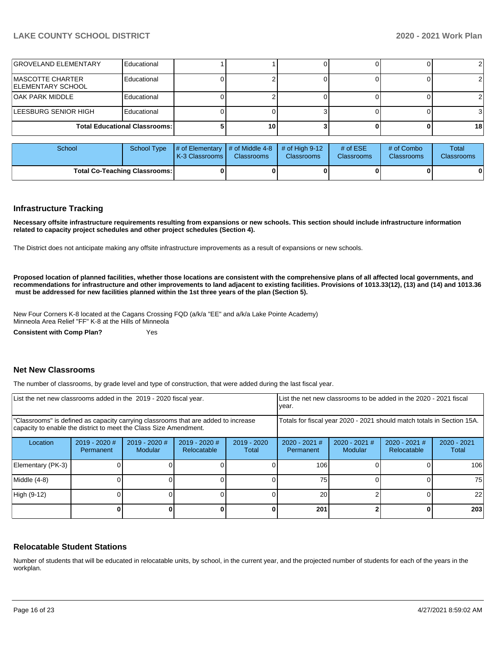| <b>GROVELAND ELEMENTARY</b>                   | Educational                          |    |  |    |
|-----------------------------------------------|--------------------------------------|----|--|----|
| MASCOTTE CHARTER<br><b>IELEMENTARY SCHOOL</b> | Educational                          |    |  |    |
| IOAK PARK MIDDLE                              | Educational                          |    |  |    |
| LEESBURG SENIOR HIGH                          | Educational                          |    |  |    |
|                                               | <b>Total Educational Classrooms:</b> | 10 |  | 18 |

| School                               |  | School Type $\frac{1}{4}$ of Elementary $\frac{1}{4}$ of Middle 4-8 $\frac{1}{4}$ of High 9-12<br><b>K-3 Classrooms I</b> | <b>Classrooms</b> | <b>Classrooms</b> | # of $ESE$<br><b>Classrooms</b> | # of Combo<br>Classrooms | Total<br><b>Classrooms</b> |
|--------------------------------------|--|---------------------------------------------------------------------------------------------------------------------------|-------------------|-------------------|---------------------------------|--------------------------|----------------------------|
| <b>Total Co-Teaching Classrooms:</b> |  |                                                                                                                           |                   |                   |                                 | 0                        | 0                          |

#### **Infrastructure Tracking**

**Necessary offsite infrastructure requirements resulting from expansions or new schools. This section should include infrastructure information related to capacity project schedules and other project schedules (Section 4).** 

The District does not anticipate making any offsite infrastructure improvements as a result of expansions or new schools.

**Proposed location of planned facilities, whether those locations are consistent with the comprehensive plans of all affected local governments, and recommendations for infrastructure and other improvements to land adjacent to existing facilities. Provisions of 1013.33(12), (13) and (14) and 1013.36 must be addressed for new facilities planned within the 1st three years of the plan (Section 5).** 

New Four Corners K-8 located at the Cagans Crossing FQD (a/k/a "EE" and a/k/a Lake Pointe Academy) Minneola Area Relief "FF" K-8 at the Hills of Minneola

**Consistent with Comp Plan?** Yes

#### **Net New Classrooms**

The number of classrooms, by grade level and type of construction, that were added during the last fiscal year.

| List the net new classrooms added in the 2019 - 2020 fiscal year.                                                                                       | Llist the net new classrooms to be added in the 2020 - 2021 fiscal<br>year. |                                 |                                |                      |                                                                        |                            |                                |                        |
|---------------------------------------------------------------------------------------------------------------------------------------------------------|-----------------------------------------------------------------------------|---------------------------------|--------------------------------|----------------------|------------------------------------------------------------------------|----------------------------|--------------------------------|------------------------|
| "Classrooms" is defined as capacity carrying classrooms that are added to increase<br>capacity to enable the district to meet the Class Size Amendment. |                                                                             |                                 |                                |                      | Totals for fiscal year 2020 - 2021 should match totals in Section 15A. |                            |                                |                        |
| Location                                                                                                                                                | 2019 - 2020 #<br><b>Permanent</b>                                           | 2019 - 2020 #<br><b>Modular</b> | $2019 - 2020$ #<br>Relocatable | 2019 - 2020<br>Total | $2020 - 2021$ #<br>Permanent                                           | $2020 - 2021$ #<br>Modular | $2020 - 2021$ #<br>Relocatable | $2020 - 2021$<br>Total |
| Elementary (PK-3)                                                                                                                                       |                                                                             |                                 |                                |                      | 106                                                                    |                            |                                | 106                    |
| Middle (4-8)                                                                                                                                            |                                                                             |                                 |                                |                      | 75                                                                     |                            |                                | 75                     |
| High (9-12)                                                                                                                                             |                                                                             |                                 |                                |                      | 20                                                                     |                            |                                | 22                     |
|                                                                                                                                                         |                                                                             |                                 |                                |                      | 201                                                                    |                            |                                | 203                    |

#### **Relocatable Student Stations**

Number of students that will be educated in relocatable units, by school, in the current year, and the projected number of students for each of the years in the workplan.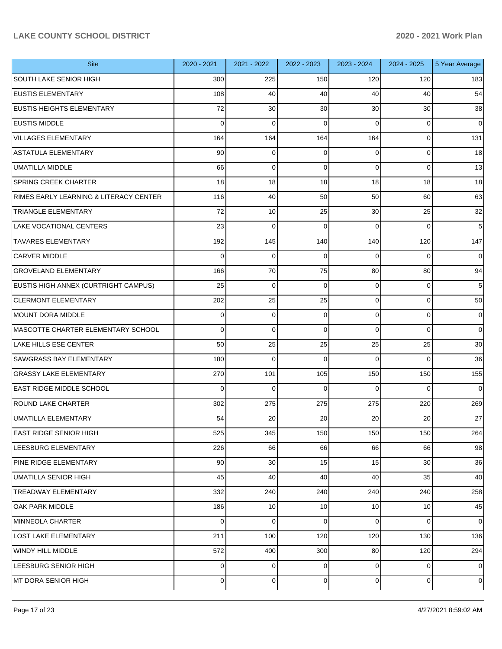| <b>Site</b>                            | 2020 - 2021 | 2021 - 2022    | 2022 - 2023 | 2023 - 2024     | 2024 - 2025 | 5 Year Average |
|----------------------------------------|-------------|----------------|-------------|-----------------|-------------|----------------|
| <b>SOUTH LAKE SENIOR HIGH</b>          | 300         | 225            | 150         | 120             | 120         | 183            |
| <b>EUSTIS ELEMENTARY</b>               | 108         | 40             | 40          | 40              | 40          | 54             |
| EUSTIS HEIGHTS ELEMENTARY              | 72          | 30             | 30          | 30              | 30          | 38             |
| <b>EUSTIS MIDDLE</b>                   | $\Omega$    | $\mathbf 0$    | 0           | $\Omega$        | $\mathbf 0$ | 0              |
| <b>VILLAGES ELEMENTARY</b>             | 164         | 164            | 164         | 164             | $\mathbf 0$ | 131            |
| <b>ASTATULA ELEMENTARY</b>             | 90          | 0              | 0           | 0               | $\mathbf 0$ | 18             |
| <b>UMATILLA MIDDLE</b>                 | 66          | $\mathbf 0$    | 0           | $\Omega$        | $\mathbf 0$ | 13             |
| <b>SPRING CREEK CHARTER</b>            | 18          | 18             | 18          | 18              | 18          | 18             |
| RIMES EARLY LEARNING & LITERACY CENTER | 116         | 40             | 50          | 50              | 60          | 63             |
| <b>TRIANGLE ELEMENTARY</b>             | 72          | 10             | 25          | 30              | 25          | 32             |
| <b>LAKE VOCATIONAL CENTERS</b>         | 23          | $\mathbf 0$    | 0           | $\Omega$        | $\Omega$    | 5              |
| <b>TAVARES ELEMENTARY</b>              | 192         | 145            | 140         | 140             | 120         | 147            |
| <b>CARVER MIDDLE</b>                   | $\Omega$    | $\mathbf 0$    | 0           | $\Omega$        | $\Omega$    | 0              |
| <b>GROVELAND ELEMENTARY</b>            | 166         | 70             | 75          | 80              | 80          | 94             |
| EUSTIS HIGH ANNEX (CURTRIGHT CAMPUS)   | 25          | $\mathbf 0$    | $\mathbf 0$ | $\Omega$        | $\mathbf 0$ | 5              |
| <b>CLERMONT ELEMENTARY</b>             | 202         | 25             | 25          | $\Omega$        | $\mathbf 0$ | 50             |
| MOUNT DORA MIDDLE                      | $\Omega$    | 0              | 0           | $\Omega$        | $\mathbf 0$ | 0              |
| MASCOTTE CHARTER ELEMENTARY SCHOOL     | $\Omega$    | $\mathbf 0$    | 0           | $\Omega$        | $\Omega$    | $\Omega$       |
| <b>LAKE HILLS ESE CENTER</b>           | 50          | 25             | 25          | 25              | 25          | 30             |
| <b>SAWGRASS BAY ELEMENTARY</b>         | 180         | $\mathbf 0$    | $\Omega$    | $\Omega$        | $\Omega$    | 36             |
| <b>GRASSY LAKE ELEMENTARY</b>          | 270         | 101            | 105         | 150             | 150         | 155            |
| EAST RIDGE MIDDLE SCHOOL               | $\Omega$    | $\mathbf 0$    | $\Omega$    | $\Omega$        | $\Omega$    | $\Omega$       |
| <b>ROUND LAKE CHARTER</b>              | 302         | 275            | 275         | 275             | 220         | 269            |
| UMATILLA ELEMENTARY                    | 54          | 20             | 20          | 20              | 20          | 27             |
| <b>EAST RIDGE SENIOR HIGH</b>          | 525         | 345            | 150         | 150             | 150         | 264            |
| LEESBURG ELEMENTARY                    | 226         | 66             | 66          | 66              | 66          | 98             |
| PINE RIDGE ELEMENTARY                  | 90          | 30             | 15          | 15              | 30          | 36             |
| <b>UMATILLA SENIOR HIGH</b>            | 45          | 40             | 40          | 40              | 35          | 40             |
| <b>TREADWAY ELEMENTARY</b>             | 332         | 240            | 240         | 240             | 240         | 258            |
| OAK PARK MIDDLE                        | 186         | 10             | 10          | 10 <sup>1</sup> | 10          | 45             |
| MINNEOLA CHARTER                       | 0           | 0              | 0           | 0               | 0           | 0              |
| LOST LAKE ELEMENTARY                   | 211         | 100            | 120         | 120             | 130         | 136            |
| WINDY HILL MIDDLE                      | 572         | 400            | 300         | 80              | 120         | 294            |
| LEESBURG SENIOR HIGH                   | 0           | $\mathbf 0$    | 0           | $\overline{0}$  | 0           | $\overline{0}$ |
| MT DORA SENIOR HIGH                    | 0           | $\overline{0}$ | 0           | $\overline{0}$  | 0           | $\overline{0}$ |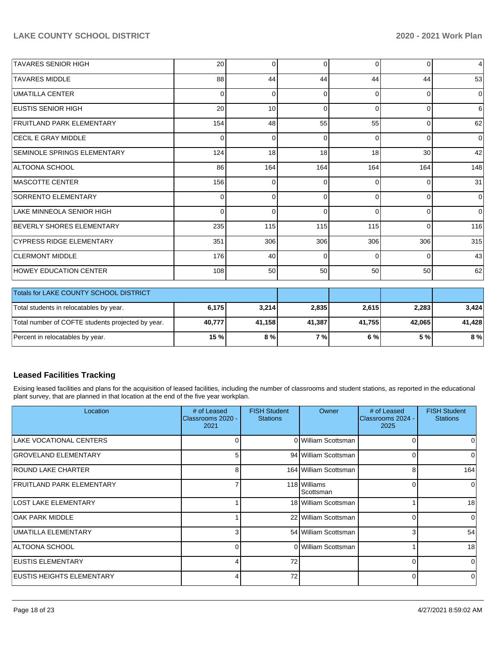| <b>TAVARES SENIOR HIGH</b>       | 20       | $\Omega$       | $\Omega$ | 0        | $\overline{0}$  | $\overline{4}$ |
|----------------------------------|----------|----------------|----------|----------|-----------------|----------------|
| <b>TAVARES MIDDLE</b>            | 88       | 44             | 44       | 44       | 44              | 53             |
| UMATILLA CENTER                  | 0        | $\overline{0}$ | 0        | $\Omega$ | $\overline{0}$  | $\overline{0}$ |
| <b>EUSTIS SENIOR HIGH</b>        | 20       | 10             | $\Omega$ | $\Omega$ | $\Omega$        | $6 \,$         |
| <b>FRUITLAND PARK ELEMENTARY</b> | 154      | 48             | 55       | 55       | $\overline{0}$  | 62             |
| <b>CECIL E GRAY MIDDLE</b>       | 0        | $\overline{0}$ | $\Omega$ | $\Omega$ | $\Omega$        | $\overline{0}$ |
| SEMINOLE SPRINGS ELEMENTARY      | 124      | 18             | 18       | 18       | 30 <sup>1</sup> | 42             |
| ALTOONA SCHOOL                   | 86       | 164            | 164      | 164      | 164             | 148            |
| <b>IMASCOTTE CENTER</b>          | 156      | $\overline{0}$ | $\Omega$ | $\Omega$ | $\Omega$        | 31             |
| <b>SORRENTO ELEMENTARY</b>       | $\Omega$ | $\Omega$       | $\Omega$ | $\Omega$ | $\overline{0}$  | $\overline{0}$ |
| LAKE MINNEOLA SENIOR HIGH        | $\Omega$ | $\overline{0}$ | $\Omega$ | $\Omega$ | $\overline{0}$  | $\overline{0}$ |
| <b>BEVERLY SHORES ELEMENTARY</b> | 235      | 115            | 115      | 115      | $\Omega$        | 116            |
| <b>CYPRESS RIDGE ELEMENTARY</b>  | 351      | 306            | 306      | 306      | 306             | 315            |
| <b>CLERMONT MIDDLE</b>           | 176      | 40             | $\Omega$ | $\Omega$ | $\overline{0}$  | 43             |
| <b>HOWEY EDUCATION CENTER</b>    | 108      | 50             | 50       | 50       | 50 <sub>1</sub> | 62             |

| <b>Totals for LAKE COUNTY SCHOOL DISTRICT</b>     |                 |        |        |        |        |        |
|---------------------------------------------------|-----------------|--------|--------|--------|--------|--------|
| Total students in relocatables by year.           | 6,175           | 3,214  | 2,835  | 2.615  | 2,283  | 3.424  |
| Total number of COFTE students projected by year. | 40.777          | 41.158 | 41.387 | 41.755 | 42.065 | 41.428 |
| Percent in relocatables by year.                  | 15 <sub>%</sub> | 8%     | 7 % L  | 6%     | 5 %    | 8%     |

#### **Leased Facilities Tracking**

Exising leased facilities and plans for the acquisition of leased facilities, including the number of classrooms and student stations, as reported in the educational plant survey, that are planned in that location at the end of the five year workplan.

| Location                          | # of Leased<br>Classrooms 2020 -<br>2021 | <b>FISH Student</b><br><b>Stations</b> | <b>Owner</b>              | # of Leased<br>Classrooms 2024 -<br>2025 | <b>FISH Student</b><br><b>Stations</b> |
|-----------------------------------|------------------------------------------|----------------------------------------|---------------------------|------------------------------------------|----------------------------------------|
| LAKE VOCATIONAL CENTERS           | $\Omega$                                 |                                        | 0 William Scottsman       | 0                                        | 0                                      |
| <b>GROVELAND ELEMENTARY</b>       | 5                                        |                                        | 94 William Scottsman      | $\Omega$                                 | $\Omega$                               |
| IROUND LAKE CHARTER               | 8                                        |                                        | 164 William Scottsman     | 8                                        | 164                                    |
| FRUITLAND PARK ELEMENTARY         |                                          |                                        | 118 Williams<br>Scottsman | 0                                        | $\Omega$                               |
| LOST LAKE ELEMENTARY              |                                          |                                        | 18 William Scottsman      |                                          | 18                                     |
| IOAK PARK MIDDLE                  |                                          |                                        | 22 William Scottsman      | $\Omega$                                 | $\Omega$                               |
| UMATILLA ELEMENTARY               | 31                                       |                                        | 54 William Scottsman      | 3                                        | 54                                     |
| ALTOONA SCHOOL                    | $\Omega$                                 |                                        | 0 William Scottsman       |                                          | 18                                     |
| <b>EUSTIS ELEMENTARY</b>          | 4                                        | 72                                     |                           | $\Omega$                                 | $\Omega$                               |
| <b>IEUSTIS HEIGHTS ELEMENTARY</b> | 4                                        | 72                                     |                           | 0                                        | $\Omega$                               |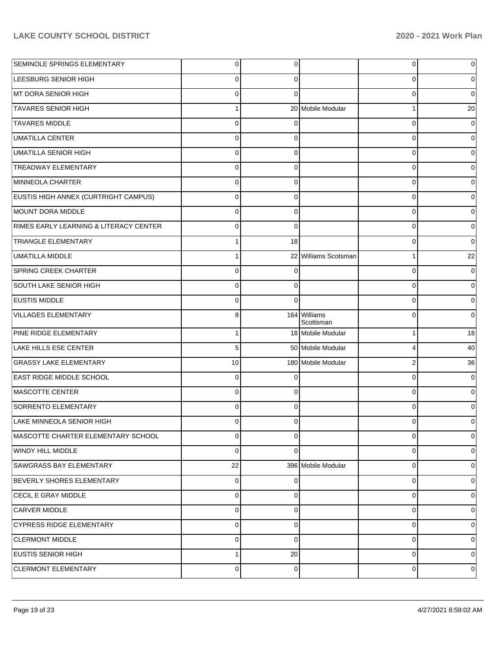| SEMINOLE SPRINGS ELEMENTARY            | $\mathbf 0$    | 0           |                           | 0              | 0           |
|----------------------------------------|----------------|-------------|---------------------------|----------------|-------------|
| <b>LEESBURG SENIOR HIGH</b>            | $\mathbf 0$    | 0           |                           | 0              | 0           |
| MT DORA SENIOR HIGH                    | $\mathbf 0$    | $\Omega$    |                           | 0              | $\mathbf 0$ |
| <b>TAVARES SENIOR HIGH</b>             | $\mathbf{1}$   |             | 20 Mobile Modular         | 1              | 20          |
| <b>TAVARES MIDDLE</b>                  | $\mathbf 0$    | 0           |                           | 0              | 0           |
| <b>UMATILLA CENTER</b>                 | $\mathbf 0$    | 0           |                           | 0              | 0           |
| UMATILLA SENIOR HIGH                   | $\mathbf 0$    | 0           |                           | 0              | $\Omega$    |
| <b>TREADWAY ELEMENTARY</b>             | $\mathbf 0$    | 0           |                           | 0              | 0           |
| MINNEOLA CHARTER                       | $\mathbf 0$    | $\mathbf 0$ |                           | 0              | $\Omega$    |
| EUSTIS HIGH ANNEX (CURTRIGHT CAMPUS)   | $\mathbf 0$    | $\mathbf 0$ |                           | 0              | 0           |
| MOUNT DORA MIDDLE                      | $\mathbf 0$    | $\mathbf 0$ |                           | 0              | 0           |
| RIMES EARLY LEARNING & LITERACY CENTER | $\mathbf 0$    | $\mathbf 0$ |                           | 0              | 0           |
| <b>TRIANGLE ELEMENTARY</b>             | $\mathbf{1}$   | 18          |                           | 0              | $\Omega$    |
| UMATILLA MIDDLE                        | 1              |             | 22 Williams Scotsman      | 1              | 22          |
| <b>SPRING CREEK CHARTER</b>            | $\mathbf 0$    | 0           |                           | 0              | $\Omega$    |
| SOUTH LAKE SENIOR HIGH                 | $\mathbf 0$    | 0           |                           | 0              | 0           |
| <b>EUSTIS MIDDLE</b>                   | $\mathbf 0$    | $\Omega$    |                           | 0              | $\mathbf 0$ |
| <b>VILLAGES ELEMENTARY</b>             | 8              |             | 164 Williams<br>Scottsman | 0              | 0           |
| PINE RIDGE ELEMENTARY                  | 1              |             | 18 Mobile Modular         | 1              | 18          |
| LAKE HILLS ESE CENTER                  | 5              |             | 50 Mobile Modular         | 4              | 40          |
| <b>GRASSY LAKE ELEMENTARY</b>          | 10             |             | 180 Mobile Modular        | $\overline{2}$ | 36          |
| <b>EAST RIDGE MIDDLE SCHOOL</b>        | $\mathbf 0$    | $\Omega$    |                           | 0              | $\Omega$    |
| <b>MASCOTTE CENTER</b>                 | $\mathbf 0$    | $\Omega$    |                           | 0              | $\Omega$    |
| <b>SORRENTO ELEMENTARY</b>             | $\mathbf 0$    | $\Omega$    |                           | $\Omega$       | 0           |
| LAKE MINNEOLA SENIOR HIGH              | $\Omega$       | $\Omega$    |                           | 0              | 0           |
| MASCOTTE CHARTER ELEMENTARY SCHOOL     | $\mathbf 0$    | $\Omega$    |                           | 0              | $\mathbf 0$ |
| WINDY HILL MIDDLE                      | $\Omega$       | $\Omega$    |                           | 0              | 0           |
| SAWGRASS BAY ELEMENTARY                | 22             |             | 396 Mobile Modular        | 0              | 0           |
| BEVERLY SHORES ELEMENTARY              | $\overline{0}$ | $\Omega$    |                           | 0              | 0           |
| CECIL E GRAY MIDDLE                    | $\overline{0}$ | $\Omega$    |                           | 0              | 0           |
| <b>CARVER MIDDLE</b>                   | $\overline{0}$ | $\Omega$    |                           | 0              | 0           |
| <b>CYPRESS RIDGE ELEMENTARY</b>        | $\mathbf 0$    | $\Omega$    |                           | 0              | 0           |
| <b>CLERMONT MIDDLE</b>                 | $\overline{0}$ | $\Omega$    |                           | 0              | 0           |
| <b>EUSTIS SENIOR HIGH</b>              | 1              | 20          |                           | 0              | 0           |
| <b>CLERMONT ELEMENTARY</b>             | $\overline{0}$ | 0           |                           | 0              | 0           |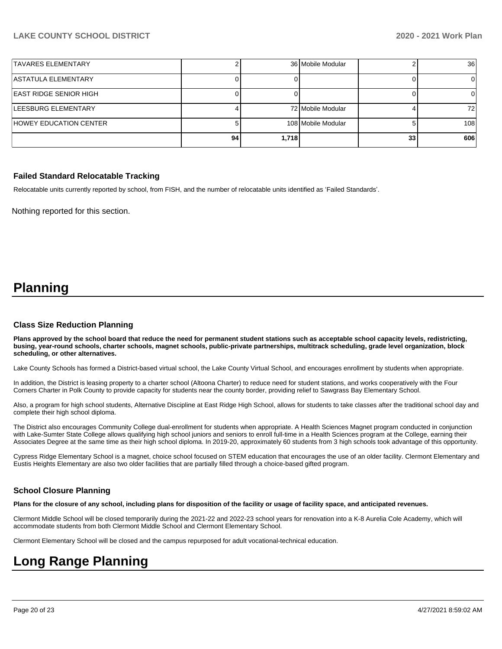| <b>ITAVARES ELEMENTARY</b>    |    |       | 36 Mobile Modular  |    | <b>36</b> |
|-------------------------------|----|-------|--------------------|----|-----------|
| <b>ASTATULA ELEMENTARY</b>    |    |       |                    |    |           |
| <b>EAST RIDGE SENIOR HIGH</b> |    |       |                    |    |           |
| LEESBURG ELEMENTARY           |    |       | 72 Mobile Modular  |    | 721       |
| HOWEY EDUCATION CENTER        |    |       | 108 Mobile Modular |    | 108       |
|                               | 94 | 1,718 |                    | 33 | 606       |

#### **Failed Standard Relocatable Tracking**

Relocatable units currently reported by school, from FISH, and the number of relocatable units identified as 'Failed Standards'.

Nothing reported for this section.

## **Planning**

#### **Class Size Reduction Planning**

**Plans approved by the school board that reduce the need for permanent student stations such as acceptable school capacity levels, redistricting, busing, year-round schools, charter schools, magnet schools, public-private partnerships, multitrack scheduling, grade level organization, block scheduling, or other alternatives.**

Lake County Schools has formed a District-based virtual school, the Lake County Virtual School, and encourages enrollment by students when appropriate.

In addition, the District is leasing property to a charter school (Altoona Charter) to reduce need for student stations, and works cooperatively with the Four Corners Charter in Polk County to provide capacity for students near the county border, providing relief to Sawgrass Bay Elementary School.

Also, a program for high school students, Alternative Discipline at East Ridge High School, allows for students to take classes after the traditional school day and complete their high school diploma.

The District also encourages Community College dual-enrollment for students when appropriate. A Health Sciences Magnet program conducted in conjunction with Lake-Sumter State College allows qualifying high school juniors and seniors to enroll full-time in a Health Sciences program at the College, earning their Associates Degree at the same time as their high school diploma. In 2019-20, approximately 60 students from 3 high schools took advantage of this opportunity.

Cypress Ridge Elementary School is a magnet, choice school focused on STEM education that encourages the use of an older facility. Clermont Elementary and Eustis Heights Elementary are also two older facilities that are partially filled through a choice-based gifted program.

#### **School Closure Planning**

**Plans for the closure of any school, including plans for disposition of the facility or usage of facility space, and anticipated revenues.** 

Clermont Middle School will be closed temporarily during the 2021-22 and 2022-23 school years for renovation into a K-8 Aurelia Cole Academy, which will accommodate students from both Clermont Middle School and Clermont Elementary School.

Clermont Elementary School will be closed and the campus repurposed for adult vocational-technical education.

# **Long Range Planning**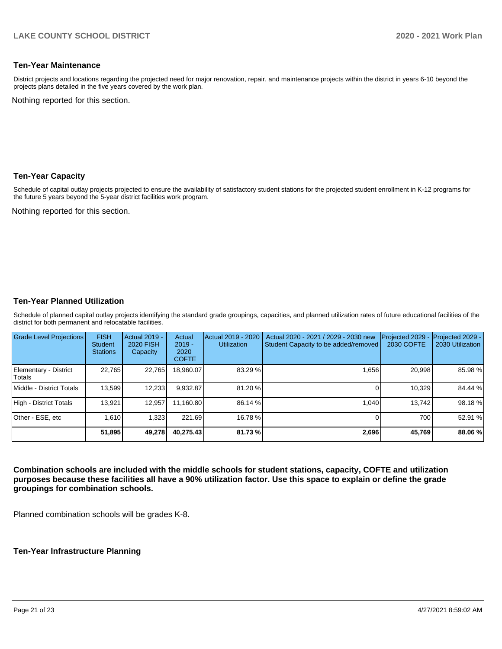#### **Ten-Year Maintenance**

District projects and locations regarding the projected need for major renovation, repair, and maintenance projects within the district in years 6-10 beyond the projects plans detailed in the five years covered by the work plan.

Nothing reported for this section.

#### **Ten-Year Capacity**

Schedule of capital outlay projects projected to ensure the availability of satisfactory student stations for the projected student enrollment in K-12 programs for the future 5 years beyond the 5-year district facilities work program.

Nothing reported for this section.

#### **Ten-Year Planned Utilization**

Schedule of planned capital outlay projects identifying the standard grade groupings, capacities, and planned utilization rates of future educational facilities of the district for both permanent and relocatable facilities.

| <b>Grade Level Projections</b>   | <b>FISH</b><br><b>Student</b><br><b>Stations</b> | Actual 2019 -<br><b>2020 FISH</b><br>Capacity | Actual<br>$2019 -$<br>2020<br><b>COFTE</b> | Actual 2019 - 2020<br><b>Utilization</b> | Actual 2020 - 2021 / 2029 - 2030 new<br>Student Capacity to be added/removed | Projected 2029<br><b>2030 COFTE</b> | Projected 2029 -<br>2030 Utilization |
|----------------------------------|--------------------------------------------------|-----------------------------------------------|--------------------------------------------|------------------------------------------|------------------------------------------------------------------------------|-------------------------------------|--------------------------------------|
| Elementary - District<br> Totals | 22.765                                           | 22,765                                        | 18.960.07                                  | 83.29 %                                  | 1,656                                                                        | 20,998                              | 85.98%                               |
| Middle - District Totals         | 13.599                                           | 12,233                                        | 9.932.87                                   | 81.20 %                                  |                                                                              | 10.329                              | 84.44 %                              |
| High - District Totals           | 13.921                                           | 12.957                                        | 11.160.80                                  | 86.14 %                                  | 1.040                                                                        | 13.742                              | 98.18%                               |
| Other - ESE, etc                 | 1.610                                            | 1,323                                         | 221.69                                     | 16.78 %                                  |                                                                              | 700                                 | 52.91 %                              |
|                                  | 51,895                                           | 49,278                                        | 40.275.43                                  | 81.73%                                   | 2,696                                                                        | 45.769                              | 88.06 %                              |

**Combination schools are included with the middle schools for student stations, capacity, COFTE and utilization purposes because these facilities all have a 90% utilization factor. Use this space to explain or define the grade groupings for combination schools.** 

Planned combination schools will be grades K-8.

#### **Ten-Year Infrastructure Planning**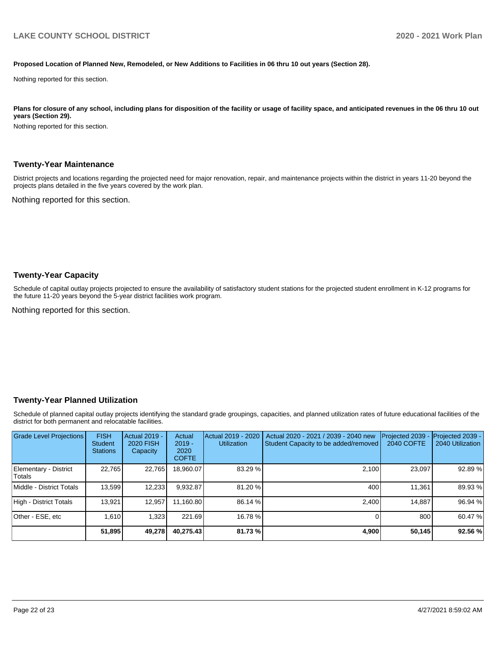#### **Proposed Location of Planned New, Remodeled, or New Additions to Facilities in 06 thru 10 out years (Section 28).**

Nothing reported for this section.

Plans for closure of any school, including plans for disposition of the facility or usage of facility space, and anticipated revenues in the 06 thru 10 out **years (Section 29).**

Nothing reported for this section.

#### **Twenty-Year Maintenance**

District projects and locations regarding the projected need for major renovation, repair, and maintenance projects within the district in years 11-20 beyond the projects plans detailed in the five years covered by the work plan.

Nothing reported for this section.

#### **Twenty-Year Capacity**

Schedule of capital outlay projects projected to ensure the availability of satisfactory student stations for the projected student enrollment in K-12 programs for the future 11-20 years beyond the 5-year district facilities work program.

Nothing reported for this section.

#### **Twenty-Year Planned Utilization**

Schedule of planned capital outlay projects identifying the standard grade groupings, capacities, and planned utilization rates of future educational facilities of the district for both permanent and relocatable facilities.

| <b>Grade Level Projections</b>   | <b>FISH</b><br><b>Student</b><br><b>Stations</b> | <b>Actual 2019 -</b><br><b>2020 FISH</b><br>Capacity | Actual<br>$2019 -$<br>2020<br><b>COFTE</b> | Actual 2019 - 2020<br><b>Utilization</b> | Actual 2020 - 2021 / 2039 - 2040 new<br>Student Capacity to be added/removed | Projected 2039<br><b>2040 COFTE</b> | Projected 2039 -<br>2040 Utilization |
|----------------------------------|--------------------------------------------------|------------------------------------------------------|--------------------------------------------|------------------------------------------|------------------------------------------------------------------------------|-------------------------------------|--------------------------------------|
| Elementary - District<br> Totals | 22.765                                           | 22,765                                               | 18.960.07                                  | 83.29 %                                  | 2.100                                                                        | 23,097                              | 92.89%                               |
| Middle - District Totals         | 13,599                                           | 12,233                                               | 9.932.87                                   | 81.20 %                                  | 400                                                                          | 11.361                              | 89.93 %                              |
| High - District Totals           | 13.921                                           | 12.957                                               | 11.160.80                                  | 86.14 %                                  | 2.400                                                                        | 14.887                              | 96.94 %                              |
| Other - ESE, etc                 | 1.610                                            | 1,323                                                | 221.69                                     | 16.78 %                                  |                                                                              | 800                                 | 60.47 %                              |
|                                  | 51,895                                           | 49,278                                               | 40,275.43                                  | 81.73 %                                  | 4,900                                                                        | 50,145                              | 92.56 %                              |